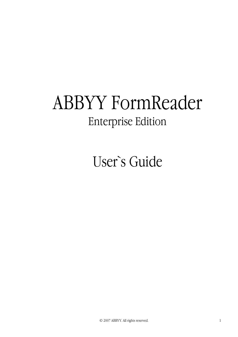# ABBYY FormReader Enterprise Edition

User`s Guide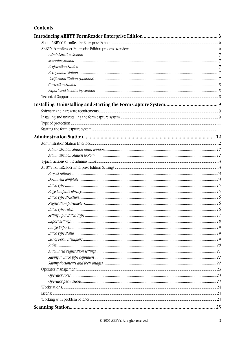# Contents

| 25 |
|----|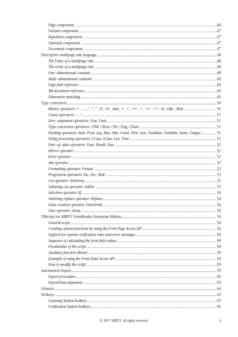| Binary operators: $+, -, /, *, *, \mathcal{B}, \mathcal{O}r, \mathcal{A}nd, =, <, <=, >, >=, <>, \mathcal{M}, \mathcal{L}ike, \mathcal{M}od$ |  |
|----------------------------------------------------------------------------------------------------------------------------------------------|--|
|                                                                                                                                              |  |
|                                                                                                                                              |  |
|                                                                                                                                              |  |
| Packing operators: Sum, Prod, Avg, Max, Min, Count, First, Last, NumMax, NumMin, Same, Unique 51                                             |  |
|                                                                                                                                              |  |
|                                                                                                                                              |  |
|                                                                                                                                              |  |
|                                                                                                                                              |  |
|                                                                                                                                              |  |
|                                                                                                                                              |  |
|                                                                                                                                              |  |
|                                                                                                                                              |  |
|                                                                                                                                              |  |
|                                                                                                                                              |  |
|                                                                                                                                              |  |
|                                                                                                                                              |  |
|                                                                                                                                              |  |
|                                                                                                                                              |  |
|                                                                                                                                              |  |
|                                                                                                                                              |  |
|                                                                                                                                              |  |
|                                                                                                                                              |  |
|                                                                                                                                              |  |
|                                                                                                                                              |  |
|                                                                                                                                              |  |
|                                                                                                                                              |  |
|                                                                                                                                              |  |
|                                                                                                                                              |  |
|                                                                                                                                              |  |
|                                                                                                                                              |  |
|                                                                                                                                              |  |
|                                                                                                                                              |  |
|                                                                                                                                              |  |
|                                                                                                                                              |  |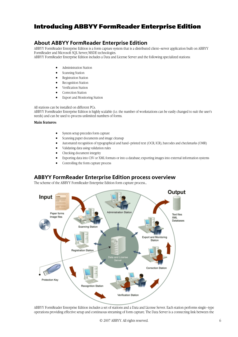# Introducing ABBYY FormReader Enterprise Edition

# **About ABBYY FormReader Enterprise Edition**

ABBYY FormReader Enterprise Edition is a form capture system that is a distributed client–server application built on ABBYY FormReader and Microsoft SQL Server/MSDE technologies.

ABBYY FormReader Enterprise Edition includes a Data and License Server and the following specialized stations:

- Administration Station
- Scanning Station
- Registration Station
- Recognition Station
- Verification Station
- Correction Station
- Export and Monitoring Station

All stations can be installed on different PCs.

ABBYY FormReader Enterprise Edition is highly scalable (i.e. the number of workstations can be easily changed to suit the user's needs) and can be used to process unlimited numbers of forms.

#### **Main features:**

- System setup precedes form capture
- Scanning paper documents and image cleanup
- Automated recognition of typographical and hand–printed text (OCR, ICR), barcodes and checkmarks (OMR)
- Validating data using validation rules
- Checking document integrity
- Exporting data into CSV or XML formats or into a database; exporting images into external information systems
- Controlling the form capture process

# **ABBYY FormReader Enterprise Edition process overview**

The scheme of the ABBYY FormReader Enterprise Edition form capture process...



ABBYY FormReader Enterprise Edition includes a set of stations and a Data and License Server. Each station performs single–type operations providing effective setup and continuous streaming of form capture. The Data Server is a connecting link between the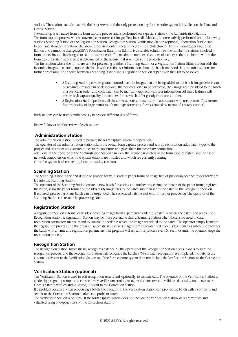stations. The stations transfer data via the Data Server, and the only protection key for the entire system is installed on the Data and License Server.

System setup is separated from the form capture process and is performed on a special station – the Administration Station. The form capture process, which converts paper forms (or image files) into editable data, is consecutively performed on the following stations: Scanning Station or the Registration Station, Recognition Station, Verification Station (optional), Correction Station and Export and Monitoring Station. The above processing order is determined by the architecture of ABBYY FormReader Enterprise Edition and cannot be changed.ABBYY FormReader Enterprise Edition is a scalable solution, i.e. the number of stations involved in form processing can be changed to suit the user's needs. The maximum number of stations of each type that can be run within the form capture system at one time is determined by the license that is written in the protection key.

The first station where the forms are sent for processing is either a Scanning Station or a Registration Station. Either station adds the incoming images to a batch, supplies the batch with certain user information about the batch, and sends it on to other stations for further processing. The choice between a Scanning Station and a Registration Station depends on the task to be solved:

- A Scanning Station provides greater control over the images that are being added to the batch: image defects can be repaired (images can be despeckled, their orientation can be corrected, etc.), images can be added to the batch in a particular order, and each batch can be manually supplied with user information. All these features will ensure high capture quality for complex forms which differ greatly from one another.
- A Registration Station performs all the above actions automatically in accordance with user presets. This ensures fast processing of large numbers of same-type forms (e.g. forms scanned by means of a batch scanner).

Both stations can be used simultaneously to process different sets of forms.

Below follows a brief overview of each station:

### **Administration Station**

The Administration Station is used to prepare the form capture system for operation.

The operator of the Administration Station plans the overall form capture process and sets up each station: adds batch types to the project and sets them up, allocates duties to the operators and gives them the necessary permissions.

Additionally, the operator of the Administration Station can view the license parameters of the form capture system and the list of network computers on which the system stations are installed and which are currently running.

Once the system has been set up, form processing can start.

# **Scanning Station**

The Scanning Station is the first station to process forms. A stack of paper forms or image files of previously scanned paper forms are fed into the Scanning Station.

The operator of the Scanning Station creates a new batch for storing and further processing the images of the paper forms, registers the batch, scans the paper forms and/or adds ready image files to the batch and then sends the batch to the Recognition Station. If required, processing of any batch can be suspended. The suspended batch is not sent for further processing. The operator of the Scanning Station can resume its processing later.

# **Registration Station**

A Registration Station automatically adds incoming images from a particular folder to a batch, registers the batch, and sends it to a Recognition Station. A Registration Station may be more preferable than a Scanning Station when there is no need to enter registration parameters manually and to control the order in which the images are added to the batch. The operator simply launches the registration process, and the program automatically extracts mages from a userdefined folder, adds them to a batch, and provides the batch with a name and registration parameters. The program will repeat this process every 60 seconds until the operator stops the registration process.

### **Recognition Station**

The Recognition Station automatically recognizes batches. All the operator of the Recognition Station needs to do is to start the recognition process, and the Recognition Station will recognize the batches. When batch recognition is completed, the batches are automatically sent to the Verification Station or, if the form capture system does not include the Verification Station, to the Correction Station.

### **Verification Station (optional)**

The Verification Station is used to edit recognition results and, optionally, to validate data. The operator of the Verification Station is guided by program prompts and consecutively verifies uncertainly recognized characters and validates data using one–page rules. Once a batch is verified and validated, it is sent to the Correction Station.

If a problem occurred when processing a batch, the operator of the Verification Station can provide the batch with a comment and send it to the Correction Station marked as a problem batch.

The Verification Station is optional. If the form capture system does not include the Verification Station, data are verified and validated using one–page rules on the Correction Station.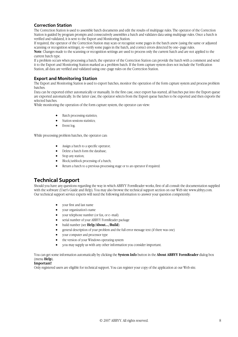# **Correction Station**

The Correction Station is used to assemble batch documents and edit the results of multipage rules. The operator of the Correction Station is guided by program prompts and consecutively assembles a batch and validates data using multipage rules. Once a batch is verified and validated, it is sent to the Export and Monitoring Station.

If required, the operator of the Correction Station may scan or recognize some pages in the batch anew (using the same or adjusted scanning or recognition settings), re–verify some pages in the batch, and correct errors detected by one–page rules.

**Note**. Changes made to the scanning or recognition settings are used to process only the current batch and are not applied to the current batch type.

If a problem occurs when processing a batch, the operator of the Correction Station can provide the batch with a comment and send it to the Export and Monitoring Station marked as a problem batch. If the form capture system does not include the Verification Station, all data are verified and validated using one–page rules on the Correction Station.

# **Export and Monitoring Station**

The Export and Monitoring Station is used to export batches, monitor the operation of the form capture system and process problem batches.

Data can be exported either automatically or manually. In the first case, once export has started, all batches put into the Export queue are exported automatically. In the latter case, the operator selects from the Export queue batches to be exported and then exports the selected batches.

While monitoring the operation of the form capture system, the operator can view:

- Batch processing statistics;
- Station sessions statistics;
- Event log.

While processing problem batches, the operator can:

- Assign a batch to a specific operator;
- Delete a batch form the database;
- Stop any station;
- Block/unblock processing of a batch;
- Return a batch to a previous processing stage or to an operator if required.

# **Technical Support**

Should you have any questions regarding the way in which ABBYY FormReader works, first of all consult the documentation supplied with the software (User's Guide and Help). You may also browse the technical support section on our Web site www.abbyy.com. Our technical support service experts will need the following information to answer your question competently:

- your first and last name
- your organization's name
- your telephone number (or fax, or e–mail)
- serial number of your ABBYY FormReader package
- build number (see **Help/About.../Build**)
- general description of your problem and the full error message text (if there was one)
- your computer and processor type
- the version of your Windows operating system
- you may supply us with any other information you consider important.

You can get some information automatically by clicking the **System Info** button in the **About ABBYY FormReader** dialog box (menu **Help**).

#### **Important!**

Only registered users are eligible for technical support. You can register your copy of the application at our Web site.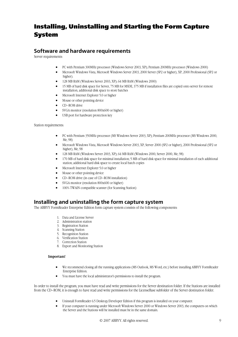# Installing, Uninstalling and Starting the Form Capture System

# **Software and hardware requirements**

Server requirements:

- PC with Pentium 300MHz processor (Windows Server 2003, XP); Pentium 200MHz processor (Windows 2000)
- Microsoft Windows Vista, Microsoft Windows Server 2003, 2000 Server (SP2 or higher), XP, 2000 Professional (SP2 or higher).
- 128 MB RAM (Windows Server 2003, XP); 64 MB RAM (Windows 2000)
- 15 MB of hard disk space for Server, 75 MB for MSDE, 375 MB if installation files are copied onto server for remote installation, additional disk space to store batches
- Microsoft Internet Explorer 5.0 or higher
- Mouse or other pointing device
- CD–ROM drive
- SVGA monitor (resolution 800x600 or higher)
- USB port for hardware protection key

Station requirements:

- PC with Pentium 350MHz processor (MS Windows Server 2003, XP); Pentium 200MHz processor (MS Windows 2000, Me, 98)
- Microsoft Windows Vista, Microsoft Windows Server 2003, XP, Server 2000 (SP2 or higher), 2000 Professional (SP2 or higher), Me, 98
- 128 MB RAM (Windows Server 2003, XP); 64 MB RAM (Windows 2000, Server 2000, Me, 98)
- 170 MB of hard disk space for minimal installation; 5 MB of hard disk space for minimal installation of each additional station; additional hard disk space to create local batch copies
- Microsoft Internet Explorer 5.0 or higher
- Mouse or other pointing device
- CD–ROM drive (in case of CD–ROM installation)
- SVGA monitor (resolution 800x600 or higher)
- 100% TWAIN compatible scanner (for Scanning Station)

# **Installing and uninstalling the form capture system**

The ABBYY FormReader Enterprise Edition form capture system consists of the following components:

- 1. Data and License Server
- 2. Administration station
- 3. Registration Station
- 4. Scanning Station
- 5. Recognition Station
- 6. Verification Station
- 7. Correction Station
- 8. Export and Monitoring Station

#### **Important**!

- We recommend closing all the running applications (MS Outlook, MS Word, etc.) before installing ABBYY FormReader Enterprise Edition.
- You must have the local administrator's permissions to install the program.

In order to install the program, you must have read and write permissions for the Server destination folder. If the Stations are installed from the CD–ROM, it is enough to have read and write permissions for the LicenseBase subfolder of the Server destination folder.

- Uninstall FormReader 6.5 Desktop/Developer Edition if this program is installed on your computer.
- If your computer is running under Microsoft Windows Server 2000 or Windows Server 2003, the computers on which the Server and the Stations will be installed must be in the same domain.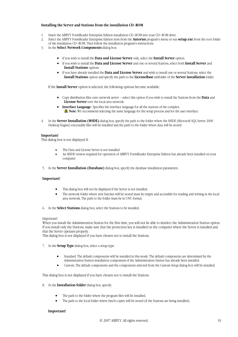#### **Installing the Server and Stations from the installation CD–ROM**

- 1. Insert the ABBYY FormReader Enterprise Edition installation CD–ROM into your CD–ROM drive.
- 2. Select the ABBYY FormReader Enterprise Edition item from the **Autorun** program's menu or run **setup.exe** from the root folder of the installation CD–ROM. Then follow the installation program's instructions.
- 3. In the **Select Network Components** dialog box:
	- If you wish to install the **Data and License Server** only, select the **Install Server** option.
	- If you wish to install the **Data and License Server** and one or several Stations, select both **Install Server** and **Install Stations** options
	- If you have already installed the **Data and License Server** and wish to install one or several Stations, select the **Install Stations** option and specify the path to the **LicenseBase** subfolder of the **Server installation** folder.

If the **Install Server** option is selected, the following options become available:

- Copy distribution files onto network server select this option if you wish to install the Stations from the **Data** and **License Server** over the local area network.
- **Interface Language**-Specifies the interface language for all the stations of the complex. **Note**: We recommend selecting the same language for the setup process and for the user interface.
- 4. In the **Server Installation (MSDE)** dialog box, specify the path to the folder where the MSDE (Microsoft SQL Server 2000 Desktop Engine) executable files will be installed and the path to the folder where data will be stored.

#### **Important**!

This dialog box is not displayed if:

- The Data and License Server is not installed
- An MSDE version required for operation of ABBYY FormReader Enterprise Edition has already been installed on your computer.
- 5. In the **Server Installation (Database)** dialog box, specify the database installation parameters.

#### **Important!**

- This dialog box will not be displayed if the Server is not installed.
- The network folder where new batches will be stored must be empty and accessible for reading and writing in the local area network. The path to the folder must be in UNC format.
- 6. In the **Select Stations** dialog box, select the Stations to be installed.

#### Important!

When you install the Administration Station for the first time, you will not be able to deselect the Administration Station option. If you install only the Stations, make sure that the protection key is installed on the computer where the Server is installed and that the Server operates properly.

This dialog box is not displayed if you have chosen not to install the Stations.

- 7. In the **Setup Type** dialog box, select a setup type:
	- Standard. The default components will be installed in this mode. The default components are determined by the Administration Station installation components if the Administration Station has already been installed.
	- Custom. The default components and the components selected from the Custom Setup dialog box will be installed.

This dialog box is not displayed if you have chosen not to install the Stations.

- 8. In the **Installation folder** dialog box, specify:
	- The path to the folder where the program files will be installed,
	- The path to the local folder where batch copies will be stored (if the Stations are being installed).

#### **Important!**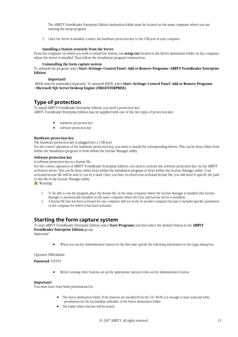The ABBYY FormReader Enterprise Edition destination folder must be located on the same computer where you are running the setup program.

9. Once the Server is installed, connect the hardware protection key to the USB port of your computer.

#### **Installing a Station remotely from the Server**

From the computer on which you wish to install the Station, run **setup.exe** located in the Server destination folder on the computer where the Server is installed. Then follow the installation program's instructions.

#### **Uninstalling the form capture system**

To uninstall the program, select **Start**>**Settings**>**Control Panel**>**Add or Remove Programs**>**ABBYY FormReader Enterprise Edition**.

#### **Important!**

 MSDE must be uninstalled separately. To uninstall MSDE, select **Start**>**Settings**>**Control Panel**>**Add or Remove Programs**  >**Microsoft SQL Server Desktop Engine (FRE6ENTERPRISE)**.

# **Type of protection**

To install ABBYY FormReader Enterprise Edition, you need a protection key. ABBYY FormReader Enterprise Edition may be supplied with one of the two types of protection key:

- hardware protection key
- software protection key

#### **Hardware protection key**

The hardware protection key is plugged into a USB port.

For the correct operation of the hardware protection key, you need to install the corresponding drivers. This can be done either from within the installation program or from within the License Manager utility.

#### **Software protection key**

A software protection key is a license file.

For the correct operation of ABBYY FormReader Enterprise Edition, you need to activate the software protection key via the ABBYY activation server. This can be done either from within the installation program or from within the License Manager utility. Your activated license file will be sent to you by email. Once you have received your activated license file, you will need to specify the path to this file in the License Manager utility.

**A** Warning!

- 1. To be able to run the program, place the license file on the same computer where the License Manager is installed (the License Manager is automatically installed on the same computer where the Data and License Server is installed).
- 2. A license file that has been activated for one computer will not work on another computer because it includes specific parameters of the computer for which it has been activated.

# **Starting the form capture system**

To start ABBYY FormReader Enterprise Edition, select **Start/Programs** and then select the desired Station in the **ABBYY FormReader Enterprise Edition** group.

Important!

• When you run the Administration Station for the first time, specify the following information in the Login dialog box:

Operator: FRE6Admin

**Password**: 555555

• Before running other Stations, set up the appropriate operator roles on the Administration Station.

#### **Important!**

You must have read/write permissions for:

- The Server destination folder. If the Stations are installed from the CD–ROM, it is enough to have read and write permissions for the LicenseBase subfolder of the Server destination folder.
- The folder where batches will be stored.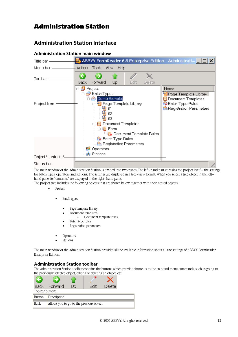# Administration Station

# **Administration Station Interface**

|                    | Administration Station main window                                                                                                |                                                                                                       |
|--------------------|-----------------------------------------------------------------------------------------------------------------------------------|-------------------------------------------------------------------------------------------------------|
| Title bar ——       |                                                                                                                                   |                                                                                                       |
| Menu bar ——        | Action<br>Tools<br>View<br>Help                                                                                                   |                                                                                                       |
| Toolbar            | Edit<br>Delete<br>Up<br>Back:<br>Forward                                                                                          |                                                                                                       |
|                    | ⊟⊹ <mark>⊜</mark> Project                                                                                                         | Name                                                                                                  |
| Project tree       | <b>Batch Types</b><br>Demo Sample<br>白 <mark>瘤</mark> Page Template Library<br>稨<br>-01<br>嗰 02                                   | Hage Template Library<br>a Document Templates<br>Batch Type Rules<br><b>图 Registration Parameters</b> |
|                    | -03<br>白 6 Document Templates<br>白 同 Form<br>└└─{ <mark>-</mark> Document Template Rules                                          |                                                                                                       |
|                    | - <b>A</b> Batch Type Rules<br>Registration Parameters                                                                            |                                                                                                       |
|                    | <b>B</b> Operators<br><sub></sub> ∎ Stations                                                                                      |                                                                                                       |
| Object "contents"= |                                                                                                                                   |                                                                                                       |
| Status bar -       |                                                                                                                                   |                                                                                                       |
|                    | The main window of the Administration Station is divided into two panes. The left-hand part contains the project itself – the set |                                                                                                       |

# **Administration Station main window**

The main window of the Administration Station is divided into two panes. The left–hand part contains the project itself – the settings for batch types, operators and stations. The settings are displayed in a tree–view format. When you select a tree object in the left– hand pane, its "contents" are displayed in the right–hand pane.

The project tree includes the following objects that are shown below together with their nested objects:

- Project
	- **Batch types** 
		- Page template library
		- Document templates
		- o Document template rules
		- Batch type rules
		- Registration parameters
	- Operators
	- **Stations**

The main window of the Administration Station provides all the available information about all the settings of ABBYY FormReader Enterprise Edition.

### **Administration Station toolbar**

The Administration Station toolbar contains the buttons which provide shortcuts to the standard menu commands, such as going to the previously selected object, editing or deleting an object, etc.

| Back:            | - Forward                                | Jn. | <b>Delete</b> |  |
|------------------|------------------------------------------|-----|---------------|--|
| Toolbar buttons: |                                          |     |               |  |
| <b>Button</b>    | Description                              |     |               |  |
| <b>Back</b>      | Allows you to go to the previous object. |     |               |  |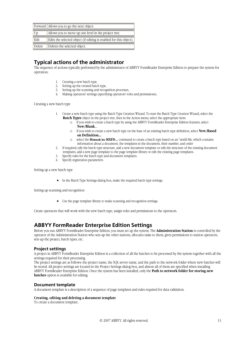|        | Forward   Allows you to go the next object.                        |
|--------|--------------------------------------------------------------------|
| Up     | Allows you to move up one level in the project tree.               |
| Edit   | Edits the selected object (if editing is enabled for this object). |
| Delete | Deletes the selected object.                                       |

# **Typical actions of the administrator**

The sequence of actions typically performed by the administrator of ABBYY FormReader Enterprise Edition to prepare the system for operation:

- 1. Creating a new batch type,
- 2. Setting up the created batch type,
- 3. Setting up the scanning and recognition processes,
- 4. Making operators' settings (specifying operators' roles and permissions).

Creating a new batch type

- 1. Create a new batch type using the Batch Type Creation Wizard. To start the Batch Type Creation Wizard, select the **Batch Types** object in the project tree, then in the Action menu, select the appropriate item:
	- o If you wish to create a batch type by using the ABBYY FormReader Enterprise Edition features, select **New/Blank**....
	- o If you wish to create a new batch type on the base of an existing batch type definition, select **New/Based on Definition...**
	- o select the **Новый/из MXFD...** command to create a batch type based on an \*.mxfd file, which contains information about a document, the templates in the document, their number, and order
- 2. If required, edit the batch type structure, add a new document template or edit the structure of the existing document templates, add a new page template to the page template library or edit the existing page templates.
- 3. Specify rules for the batch type and document templates.
- 4. Specify registration parameters.

Setting up a new batch type

• In the Batch Type Settings dialog box, make the required batch type settings.

Setting up scanning and recognition

• Use the page template library to make scanning and recognition settings.

Create operators that will work with the new batch type, assign roles and permissions to the operators.

# **ABBYY FormReader Enterprise Edition Settings**

Before you run ABBYY FormReader Enterprise Edition, you must set up the system. The **Administration Station** is controlled by the operator of the Administration Station who sets up the other stations, allocates tasks to them, gives permissions to station operators, sets up the project, batch types, etc.

### **Project settings**

A project in ABBYY FormReader Enterprise Edition is a collection of all the batches to be processed by the system together with all the settings required for their processing.

The project settings are as follows: the project name, the SQL server name, and the path to the network folder where new batches will be stored. All project settings are located in the Project Settings dialog box, and almost all of them are specified when installing ABBYY FormReader Enterprise Edition. Once the system has been installed, only the **Path to network folder for storing new batches** option is available for editing.

### **Document template**

A document template is a description of a sequence of page templates and rules required for data validation.

#### **Creating, editing and deleting a document template**

To create a document template: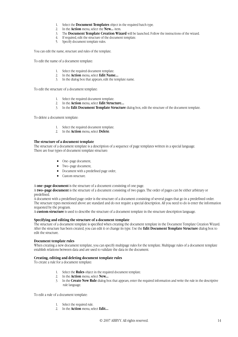- 1. Select the **Document Templates** object in the required batch type.
- 2. In the **Action** menu, select the **New...** item.
- 3. The **Document Template Creation Wizard** will be launched. Follow the instructions of the wizard.
- 4. If required, edit the structure of the document template.
- 5. Specify document template rules.

You can edit the name, structure and rules of the template.

To edit the name of a document template:

- 1. Select the required document template.
- 2. In the **Action** menu, select **Edit Name...**
- 3. In the dialog box that appears, edit the template name.

To edit the structure of a document template:

- 1. Select the required document template.
- 2. In the **Action** menu, select **Edit Structure...**
- 3. In the **Edit Document Template Structure** dialog box, edit the structure of the document template.

To delete a document template:

- 1. Select the required document template.
- 2. In the **Action** menu, select **Delete**.

#### **The structure of a document template**

The structure of a document template is a description of a sequence of page templates written in a special language. There are four types of document template structure:

- One–page document,
- Two–page document,
- Document with a predefined page order,
- Custom structure.

A **one–page document** is the structure of a document consisting of one page.

A **two–page document** is the structure of a document consisting of two pages. The order of pages can be either arbitrary or predefined.

A document with a predefined page order is the structure of a document consisting of several pages that go in a predefined order. The structure types mentioned above are standard and do not require a special description. All you need to do is enter the information requested by the program.

A **custom structure** is used to describe the structure of a document template in the structure description language.

#### **Specifying and editing the structure of a document template**

The structure of a document template is specified when creating the document template in the Document Template Creation Wizard. After the structure has been created, you can edit it or change its type. Use the **Edit Document Template Structure** dialog box to edit the structure.

#### **Document template rules**

When creating a new document template, you can specify multipage rules for the template. Multipage rules of a document template establish relations between data and are used to validate the data in the document.

#### **Creating, editing and deleting document template rules**

To create a rule for a document template:

- 1. Select the **Rules** object in the required document template.
- 2. In the **Action** menu, select **New...**
- 3. In the **Create New Rule** dialog box that appears, enter the required information and write the rule in the descriptive rule language.

To edit a rule of a document template:

- 1. Select the required rule.
- 2. In the **Action** menu, select **Edit...**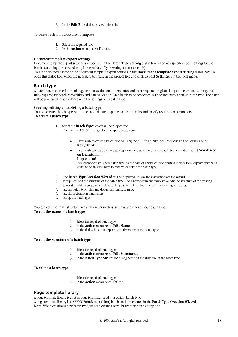3. In the **Edit Rule** dialog box, edit the rule.

To delete a rule from a document template:

- 1. Select the required rule.
- 2. In the **Action** menu, select **Delete**.

#### **Document template export settings**

Document template export settings are specified in the **Batch Type Setting** dialog box when you specify export settings for the batch containing the selected template (see Batch Type Setting for more details).

You can see or edit some of the document template export settings in the **Docxument template export setting** dialog box. To open this dialog box, select the necessary template in the project tree and click **Export Settings...** in the local menu.

#### **Batch type**

A batch type is a description of page templates, document templates and their sequence, registration parameters, and settings and rules required for batch recognition and data validation. Each batch to be processed is associated with a certain batch type. The batch will be processed in accordance with the settings of its batch type.

#### **Creating, editing and deleting a batch type**

You can create a batch type, set up the created batch type, set validation rules and specify registration parameters. **To create a batch type:** 

1. Select the **Batch Types** object in the project tree;

Then, in the **Action** menu, select the appropriate item:

- If you wish to create a batch type by using the ABBYY FormReader Enterprise Edition features, select **New/Blank...**
- If you wish to create a new batch type on the base of an existing batch type definition, select **New/Based on Definition...**

### **Importatnt!**

You cannot create a new batch type on the base of any batch type existing in your form capture system. In order to do this you have to rename or delete the batch type.

- 2. The **Batch Type Creation Wizard** will be displayed. Follow the instructions of the wizard.
- 3. If required, edit the structure of the batch type, add a new document template or edit the structure of the existing templates, add a new page template to the page template library or edit the existing templates.
- 4. Specify batch type rules and document template rules.
- 5. Specify registration parameters.
- 6. Set up the batch type.

You can edit the name, structure, registration parameters, settings and rules of your batch type. **To edit the name of a batch type**:

- 1. Select the required batch type.
- 2. In the **Action** menu, select **Edit Name...**
- 3. In the dialog box that appears, edit the name of the batch type.

#### **To edit the structure of a batch type:**

- 1. Select the required batch type.
- 2. In the **Action** menu, select **Edit Structure...**
- 3. In the **Batch Type Structure** dialog box, edit the structure of the batch type.

#### **To delete a batch type:**

- 1. Select the required batch type.
- 2. In the **Action** menu, select **Delete**.

### **Page template library**

A page template library is a set of page templates used in a certain batch type.

A page template library is a ABBYY FormReader (\*.frm) batch, and it is created in the **Batch Type Creation Wizard**. **Note**. When creating a new batch type, you can create a new library or use an existing one.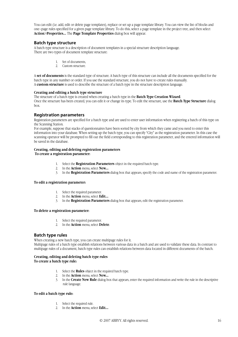You can edit (i.e. add, edit or delete page templates), replace or set up a page template library. You can view the list of blocks and one–page rules specified for a given page template library. To do this, select a page template in the project tree, and then select **Action**>**Properties...** The **Page Template Properties** dialog box will appear.

### **Batch type structure**

A batch type structure is a description of document templates in a special structure description language. There are two types of document template structure:

- 1. Set of documents,
- 2. Custom structure.

A **set of documents** is the standard type of structure. A batch type of this structure can include all the documents specified for the batch type in any number or order. If you use the standard structure, you do not have to create rules manually. A **custom structure** is used to describe the structure of a batch type in the structure description language.

#### **Creating and editing a batch type structure**

The structure of a batch type is created when creating a batch type in the **Batch Type Creation Wizard**. Once the structure has been created, you can edit it or change its type. To edit the structure, use the **Batch Type Structure** dialog box.

### **Registration parameters**

Registration parameters are specified for a batch type and are used to enter user information when registering a batch of this type on the Scanning Station.

For example, suppose that stacks of questionnaires have been sorted by city from which they came and you need to enter this information into your database. When setting up the batch type, you can specify "City" as the registration parameter. In this case the scanning operator will be prompted to fill out the field corresponding to this registration parameter, and the entered information will be saved in the database.

# **Creating, editing and deleting registration parameters**

#### **To create a registration parameter:**

- 1. Select the **Registration Parameters** object in the required batch type.
- 2. In the **Action** menu, select **New...**
- 3. In the **Registration Parameters** dialog box that appears, specify the code and name of the registration parameter.

#### **To edit a registration parameter:**

- 1. Select the required parameter.
- 2. In the **Action** menu, select **Edit...**
- 3. In the **Registration Parameters** dialog box that appears, edit the registration parameter.

#### **To delete a registration parameter:**

- 1. Select the required parameter.
- 2. In the **Action** menu, select **Delete**.

### **Batch type rules**

When creating a new batch type, you can create multipage rules for it. Multipage rules of a batch type establish relations between various data in a batch and are used to validate these data. In contrast to multipage rules of a document, batch type rules can establish relations between data located in different documents of the batch.

#### **Creating, editing and deleting batch type rules To create a batch type rule:**

- 1. Select the **Rules** object in the required batch type.
- 2. In the **Action** menu, select **New...**
- 3. In the **Create New Rule** dialog box that appears, enter the required information and write the rule in the descriptive rule language.

#### **To edit a batch type rule:**

- 1. Select the required rule.
- 2. In the **Action** menu, select **Edit...**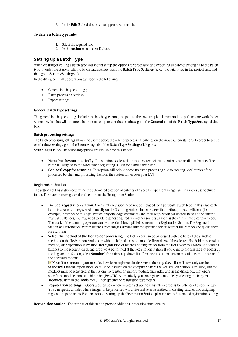3. In the **Edit Rule** dialog box that appears, edit the rule.

#### **To delete a batch type rule:**

- 1. Select the required rule.
- 2. In the **Action** menu, select **Delete**.

### **Setting up a Batch Type**

When creating or editing a batch type you should set up the options for processing and exporting all batches belonging to the batch type. In order to set up or edit the batch type settings, open the **Batch Type Settings** (select the batch type in the project tree, and then go to **Action**>**Settings...**).

In the dialog box that appears you can specify the following:

- General batch type settings;
- Batch processing settings;
- Export settings.

#### **General batch type settings**

The general batch type settings include: the batch type name, the path to the page template library, and the path to a network folder where new batches will be stored. In order to set up or edit these settings, go to the **General** tab of the **Batch Type Settings** dialog box.

#### **Batch processing settings**

The batch processing settings allows the user to select the way for processing batches on the input system stations. In order to set up or edit these settings, go to the **Processing** tab of the **Batch Type Settings** dialog box.

**Scanning Station**. The following options are available for this station:

- **Name batches automatically**. If this option is selected the input system will automatically name all new batches. The batch ID assigned to the batch when registering is used for naming the batch.
- **Get local copy for scanning**. This option will help to speed up batch processing due to creating local copies of the processed batches and processing them on the station rather over your LAN.

#### **Registration Station**

The settings of this station determine the automated creation of batches of a specific type from images arriving into a user-defined folder. The batches are registered and sent on to the Recognition Station.

- **Include Registration Station**. A Registration Station need not be included for a particular batch type. In this case, each batch is created and registered manually on the Scanning Station. In some cases this method proves inefficient (for example, if batches of this type include only one-page documents and their registration parameters need not be entered manually). Besides, you may need to add batches acquired from other sources as soon as they arrive into a certain folder. The work of the scanning operator can be considerable simplified by means of a Registration Station. The Registration Station will automatically from batches from images arriving into the specified folder, register the batches and queue them for scanning.
- **Select the method of the Hot Folder processing**. The Hot Folder can be processed with the help of the standard method (at the Registration Station) or with the help of a custom module. Regardless of the selected Hot Folder processing method, such operation as creation and registration of batches, adding images from the Hot Folder to a batch, and sending batches to the recognition queue, are always performed at the Registration Station. If you want to process the Hot Folder at the Registration Station, select **Standard** from the drop-down list. If you want to use a custom module, select the name of the necessary module.

**Note**. If no custom import modules have been registered in the system, the drop-down list will have only one item, **Standard**. Custom import modules must be installed on the computer where the Registration Station is installed, and the modules must be registered in the system. To register an import module, click Add... and in the dialog box that opens, specify the module name and identifier (**ProgID**). Alternatively, you can register a module by selecting the **Import Modules**... item in the **Tools** menu. Then specify the registration parameters.

• **Registration Settings...** Opens a dialog box where you can set up the registration process for batches of a specific type. You can specify a folder where images to be processed will arrive and select a method of creating batches and assigning registration parameters. For details about setting up the Registration Station, please refer to Automated registration settings.

**Recognition Station.** The settings of this station provide additional processing functionality: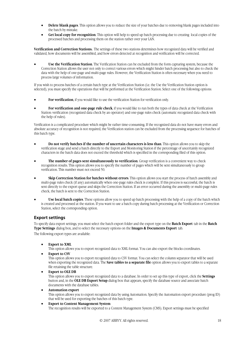- **Delete blank pages**. This option allows you to reduce the size of your batches due to removing blank pages included into the batch by mistake.
- **Get local copy for recognition**. This option will help to speed up batch processing due to creating local copies of the processed batches and processing them on the station rather over your LAN.

**Verification and Correction Stations.** The settings of these two stations determines how recognized data will be verified and validated, how documents will be assembled, and how errors detected at recognition and verification will be corrected.

• **Use the Verification Station**. The Verification Station can be excluded from the form capturing system, because the Correction Station allows the user not only to correct various errors which might hinder batch processing but also to check the data with the help of one-page and multi-page rules. However, the Verification Station is often necessary when you need to process large volumes of information.

If you wish to process batches of a certain batch type at the Verification Station (i.e. the Use the Verification Station option is selected), you must specify the operations that will be performed at the Verification Station. Select one of the following options:

- **For verification**, if you would like to use the verification Station for verification only.
- For verification and one-page rule check, if you would like to run both the types of data check at the Verification Station: verification (recognized data check by an operator) and one-page rules check (automatic recognized data check with the help of rules).

Verification is a complicated procedure which might be rather time-consuming. If the recognized data do not have many errors and absolute accuracy of recognition is not required, the Verification station can be excluded from the processing sequence for batches of this batch type.

- **Do not verify batches if the number of uncertain characters is less than**. This option allows you to skip the verification stage and send a batch directly to the Export and Monitoring Station if the percentage of uncertainly recognized characters in the batch data does not exceed the threshold which is specified in the corresponding filed of this option.
- **The number of pages sent simultaneously to verification**. Group verification is a convenient way to check recognition results. This option allows you to specify the number of pages which will be sent simultaneously to group verification. This number must not exceed 50.
- **Skip Correction Station for batches without errors**. This option allows you start the process of batch assembly and multi-page rules check (if any) automatically when one-page rules check is complete. If this process is successful, the batch is sent directly to the export queue and skips the Correction Station. If an error occurred during the assembly or multi-page rules check, the batch is sent to the Correction Station.
- **Use local batch copies**. These options allow you to speed up batch processing with the help of a copy of the batch which is created and processed at the station. If you want to use a batch copy during batch processing at the Verification or Correction Station, select the corresponding option.

# **Export settings**

To specify data export settings, you must select the batch export folder and the export type on the **Batch Export** tab in the **Batch Type Settings** dialog box, and to select the necessary options on the **Images & Documents Export** tab. The following export types are available:

**Export to XML** 

This option allows you to export recognized data to XML format. You can also export the blocks coordinates.

**Export to CSV** 

This option allows you to export recognized data to CSV format. You can select the column separator that will be used when exporting the recognized data. The **Save tables to a separate file** option allows you to export tables to a separate file retaining the table structure.

• **Export to OLE DB**

This option allows you to export recognized data to a database. In order to set up this type of export, click the **Settings** button and, in the **OLE DB Export Setup** dialog box that appears, specify the database source and associate batch documents with the database tables.

- **Automation export** This option allows you to export recognized data by using Automation. Specify the Automation export procedure (prog ID) that will be used for exporting the batches of this batch type.
- **Export to Content Management System** The recognition results will be exported to a Content Management System (CMS). Export settings must be specified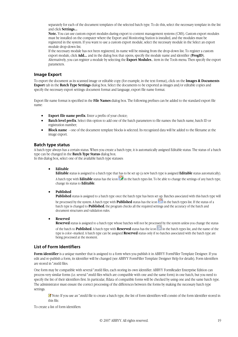separately for each of the document templates of the selected batch type. To do this, select the necessary template in the list and click **Settings...** 

**Note.** You can use custom export modules during export to content management systems (CMS). Custom export modules must be installed on the computer where the Export and Monitoring Station is installed, and the modules must be registered in the system. If you want to use a custom export module, select the necessary module in the Select an export module drop-down list.

If the necessary module has not been registered, its name will be missing from the drop-down list. To register a custom export module, click **Add...** and in the dialog box that opens, specify the module name and identifier (**ProgID**). Alternatively, you can register a module by selecting the **Export Modules**… item in the Tools menu. Then specify the export parameters.

### **Image Export**

To export the document as its scanned image or editable copy (for example, in the text format), click on the **Images & Documents Export** tab in the **Batch Type Settings** dialog box. Select the documents to be exported as images and/or editable copies and specify the necessary export settings: document format and language, export file name format.

Export file name format is specified in the **File Names** dialog box. The following prefixes can be added to the standard export file name:

- **Export file name prefix**. Enter a prefix of your choice;
- **Batch level prefix**. Select this option to add one of the batch parameters to file names: the batch name, batch ID or registration number;
- **Block name** one of the document template blocks is selected. Its recognized data will be added to the filename at the image export.

### **Batch type status**

A batch type always has a certain status. When you create a batch type, it is automatically assigned Editable status. The status of a batch type can be changed in the **Batch Type Status** dialog box.

In this dialog box, select one of the available batch type statuses:

#### • **Editable**

**Editable** status is assigned to a batch type that has to be set up (a new batch type is assigned **Editable** status automatically). A batch type with **Editable** status has the icon in the batch types list. To be able to change the settings of any batch type, change its status to **Editable**.

#### • **Published**

**Published** status is assigned to a batch type once the batch type has been set up. Batches associated with this batch type will

be processed by the system. A batch type with **Published** status has the icon **in** the batch types list. If the status of a batch type is changed to **Published**, the program checks all the required settings and the accuracy of the batch and document structures and validation rules.

#### • **Reserved**

**Reserved** status is assigned to a batch type whose batches will not be processed by the system unless you change the status

of the batch to **Published**. A batch type with **Reserved** status has the icon in the batch types list, and the name of the type is color–marked. A batch type can be assigned **Reserved** status only if no batches associated with the batch type are being processed at the moment.

### **List of Form Identifiers**

**Form <b>identifier** is a unique number that is assigned to a form when you publish it in ABBYY FormFiller Template Designer. If you edit and re-publish a form, its identifier will be changed (see ABBYY FormFiller Template Designer Help for details). Form identifiers are stored in \*.mxfd files.

One form may be compatible with several \*.mxfd files, each storing its own identifier. ABBYY FormReader Enterprise Edition can process very similar forms (i.e. several \*.mxfd files which are compatible with one and the same form) in one batch, but you need to specify the list of their identifiers first. In particular, ffdata of compatible forms will be checked by using one and the same batch type. The administrator must ensure the correct processing of the differences between the forms by making the necessary batch type settings.

K Note: If you use an \*.mxfd file to create a batch type, the list of form identifiers will consist of the form identifier stored in this file.

To create a list of form identifiers: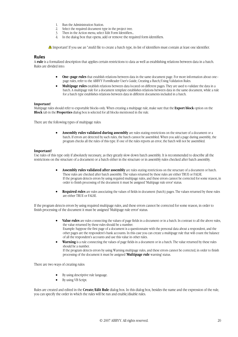- 1. Run the Administration Station.<br>2. Select the required document ty
- 2. Select the required document type in the project tree.<br>
3. Then in the Action menu, select Edit Form Identifiers.
- Then in the Action menu, select Edit Form Identifiers...
- 4. In the dialog box that opens, add or remove the required form identifiers.

Important! If you use an \*.mxfd file to create a batch type, its list of identifiers must contain at least one identifier.

#### **Rules**

A **rule** is a formalized description that applies certain restrictions to data as well as establishing relations between data in a batch. Rules are divided into:

- **One–page rules** that establish relations between data in the same document page. For more information about one– page rules, refer to the ABBYY FormReader User's Guide, Creating a Batch/Using Validation Rules.
- **Multipage rules** establish relations between data located on different pages. They are used to validate the data in a batch. A multipage rule for a document template establishes relations between data in the same document, while a rule for a batch type establishes relations between data in different documents included in a batch.

#### **Important!**

Multipage rules should refer to exportable blocks only. When creating a multipage rule, make sure that the **Export block** option on the **Block** tab in the **Properties** dialog box is selected for all blocks mentioned in the rule.

There are the following types of multipage rules:

• **Assembly rules validated during assembly** are rules stating restrictions on the structure of a document or a batch. If errors are detected by such rules, the batch cannot be assembled. When you add a page during assembly, the program checks all the rules of this type. If one of the rules reports an error, the batch will not be assembled.

#### **Important!**

Use rules of this type only if absolutely necessary, as they greatly slow down batch assembly. It is recommended to describe all the restrictions on the structure of a document or a batch either in the structure or in assembly rules checked after batch assembly.

- **Assembly rules validated after assembly** are rules stating restrictions on the structure of a document or batch. These rules are checked after batch assembly. The values returned by these rules are either TRUE or FALSE. If the program detects errors by using required multipage rules, and these errors cannot be corrected for some reason, in order to finish processing of the document it must be assigned 'Multipage rule error' status.
- **Required rules** are rules associating the values of fields in document (batch) pages. The values returned by these rules are either TRUE or FALSE.

If the program detects errors by using required multipage rules, and these errors cannot be corrected for some reason, in order to finish processing of the document it must be assigned 'Multipage rule error' status.

- **Value rules** are rules connecting the values of page fields in a document or in a batch. In contrast to all the above rules, the value returned by these rules should be a number. Example: Suppose the first page of a document is a questionnaire with the personal data about a respondent, and the other pages are the respondent's bank accounts. In this case you can create a multipage rule that will count the balance of all the respondent's accounts and use this value in other rules.
- **Warning** is a rule connecting the values of page fields in a document or in a batch. The value returned by these rules should be a number. If the program detects errors by using Warning multipage rules, and these errors cannot be corrected, in order to finish processing of the document it must be assigned **'Multipage rule** warning' status.

There are two ways of creating rules:

- By using descriptive rule language.
- By using VB Script.

Rules are created and edited in the **Create/Edit Rule** dialog box. In this dialog box, besides the name and the expression of the rule, you can specify the order in which the rules will be run and enable/disable rules.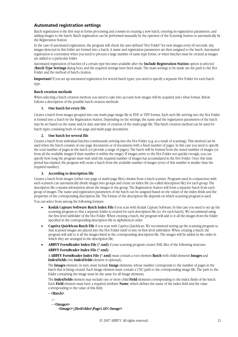# **Automated registration settings**

Batch registration is the first step in forms processing and consists in creating a new batch, entering its registration parameters, and adding images to the batch. Batch registration can be performed manually by the operator of the Scanning Station or automatically by the Registration Station.

In the case of automated registration, the program will check the user-defined "Hot Folder" for new images every 60 seconds. Any images detected in this folder are formed into a batch. A name and registration parameters are then assigned to the batch. Automated registration is convenient when you need to process a large number of sametype forms, or when batches must be created as images are added to a particular folder.

Automated registration of batches of a certain type becomes available after the **Include Registration Station** option is selected (**Batch Type Settings** dialog box) and the required settings have been made. The main settings to be made are the path to the Hot Folder and the method of batch creation.

**Important!** If you set up automated registration for several batch types, you need to specify a separate Hot Folder for each batch type.

#### **Batch creation methods**

When selecting a batch creation method, you need to take into account how images will be acquired and i what format. Below follows a description of the possible batch creation methods:

#### **1. One batch for every file**

Creates a batch from images grouped into one multi-page image file in PDF or TIFF format. Each such file arriving into the Hot Folder is formed into a batch by the Registration Station. Depending on the settings, the name and the registration parameters of the batch may be set based on the name and/or date and time of creation of the multipage file. This batch creation method can be used for batch types consisting both of one-page and multi-page documents.

#### **2. One batch for several file**

Creates a batch from individual batches continuously arriving into the Hot Folder (e.g. as a result of scanning). This method can be used when the batch consists of one-page documents or of documents with a fixed number of pages. In this case you need to specify the total number of pages in the batch (or provide a range of pages). The batch will be formed from the stated number of images (or from all the available images if their number is within the range). If images arrive to the Hot Folder not quickly enough, you can specify how long the program must wait until the required number of images has accumulated in the Hot Folder. Once this time period has elapsed, the program will create a batch from the available number of images (even of this number is smaller than the required number).

#### **3. According to description file**

Creates a batch from images (either one-page or multi-page files) obtains from a batch scanner. Programs used in conjunction with such scanners can automatically divide images into groups and create an index file (so-called description file) for each group. The description file contains information about the images in the group. The Registration Station will form a separate batch from each group of images. The name and registration parameters of the batch can be assigned based on the values of the index fields and the properties of the corresponding description file. The format of the description file depends on which scanning program is used. You can select from among the following formats:

• **Kodak Capture Software Batch Index File** if you scan with Kodak Capture Software. In this case you need to set up the scanning program so that a separate folder is created for each description file (i.e. for each batch). We recommend using the first-level subfolder of the Hot Folder. When creating a batch, the program will add to it all the images from the folder specified in the corresponding description file in alphabetical order;

- **Captiva QuickScan Batch File** if you scan with Captiva QuickScan. We recommend setting up the scanning program so that scanned images are placed into the Hot Folder itself or into its first-level subfolders. When creating a batch, the program will add to it all the images listed in the corresponding description file. The images will be added in the order in which they are arranged in the description file;
- **ABBYY FormReader Index File (\*.xml)** if your scanning program creates XML files of the following structure: **ABBYY FormReader Index File (\*.xml)**

A **ABBYY FormReader Index File (\*.xml)** must contain a root element **Batch** with child elements **Images** and **IndexFields** (the **IndexFields** element is optional).

The **Images** element, in turn, must include **Image** elements, whose number corresponds to the number of pages in the batch that is being created. Each Image element must contain a UNC path to the corresponding image file. The path to the folder containing the image must be the same for all Image elements.

The **IndexFields** element may include one or more child **Field** elements corresponding to the index fields of the batch. Each **Field** element must have a required attribute **Name**, which defines the name of the index field and the value corresponding to the value of this field.

**– <Batch>** 

 **...** 

 **– <Images>** 

 **<Image>\\HotFolder\Page1.tif</Image>**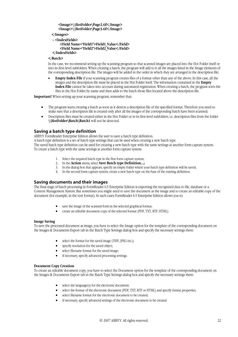```
 <Image>\\HotFolder\Page2.tif</Image> 
 <Image>\\HotFolder\Page3.tif</Image>
```

```
 </Images>
```

```
 – <IndexFields> 
     <Field Name="Field1">Field1_Value</Field> 
     <Field Name="Field2">Field2_Value</Field> 
 </IndexFields>
```
#### **</Batch>**

In the case, we recommend setting up the scanning program so that scanned images are placed into the Hot Folder itself or into its first-level subfolders. When creating a batch, the program will add to it all the images listed in the Image elements of the corresponding description file. The images will be added in the order in which they are arranged in the description file;

• **Empty Index File** if your scanning program creates files of a format other than any of the above. In this case, all the images and the description file must be placed in the Hot Folder itself. The information contained in the **Empty Index File** cannot be taken into account during automated registration. When creating a batch, the program sorts the files in the Hot Folder by name and then adds to the batch those files located above the description file.

**Important!** When setting up your scanning program, remember that:

- The program starts creating a batch as soon as it detects a description file of the specified format. Therefore you need to make sure that a description file is created only after all the images of the corresponding batch have been scanned;
- Description files must be created either in the Hot Folder or in its first-level subfolders, i.e. description files from the folder **\\HotFolder\Batch\Batch1** will not be detected.

# **Saving a batch type definition**

ABBYY FormReader Enterprise Edition allows the user to save a batch type definition.

A batch type definition is a set of batch type settings that can be used when creating a new batch type.

The saved batch type definition can be used for creating a new batch type with the same settings at another form capture system. To create a batch type with the same settings at another form capture system:

- 1. Select the required batch type in the first form capture system;
- 2. In the **Action** menu, select **Save Batch type Definition...;**
- 3. In the dialog box that appears, specify an empty folder where your batch type definition will be saved;
- 4. In the second form capture system, create a new batch type on the base of the existing definition.

### **Saving documents and their images**

The final stage of batch processing in FormReader 6.5 Enterprise Edition is exporting the recognized data to file, database or a Content Management System. But sometimes you might need to save the document as the image and to create an editable copy of the document (for example, in the text format). In such cases FormReader 6.5 Enterprise Edition allows you to:

- save the image of the scanned form in the selected graphical format;
- create an editable document copy of the selected format (PDF, TXT, RTF, HTML).

#### **Image Saving**

To save the processed document as image, you have to select the Image option for the template of the corresponding document on the Images & Documents Export tab in the Batch Type Settings dialog box and specify the necessary settings there:

- select the format for the saved image (TIFF, JPEG etc.);
- specify resolution for the saved object;
- select filename format for the saved image;
- if necessary, specify advanced processing settings.

#### **Document Copy Creation**

To create an editable document copy, you have to select the Document option for the template of the corresponding document on the Images & Documents Export tab in the Batch Type Settings dialog box and specify the necessary settings there:

- select the language $(s)$  for the electronic document;
- select the format of the electronic document (PDF, TXT, RTF or HTML) and specify format properties;
- select filename format for the electronic document to be created;
- if necessary, specify advanced settings of the electronic document to be created.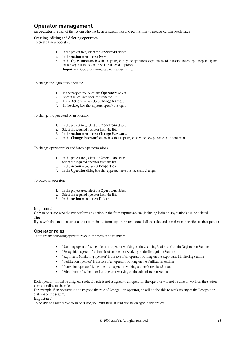# **Operator management**

An **operator** is a user of the system who has been assigned roles and permissions to process certain batch types.

#### **Creating, editing and deleting operators**

To create a new operator:

- 1. In the project tree, select the **Operators** object.
- 2. In the **Action** menu, select **New...**
- 3. In the **Operator** dialog box that appears, specify the operator's login, password, roles and batch types (separately for each role) that the operator will be allowed to process. **Important!** Operators' names are not case-sensitive.

To change the login of an operator:

- 1. In the project tree, select the **Operators** object.
- 2. Select the required operator from the list.
- 3. In the **Action** menu, select **Change Name...**
- 4. In the dialog box that appears, specify the login.

To change the password of an operator:

- 1. In the project tree, select the **Operators** object.
- 2. Select the required operator from the list.
- 3. In the **Action** menu, select **Change Password...**
- 4. In the **Change Password** dialog box that appears, specify the new password and confirm it.

To change operator roles and batch type permissions:

- 1. In the project tree, select the **Operators** object.
- 2. Select the required operator from the list.
- 3. In the **Action** menu, select **Properties...**
- 4. In the **Operator** dialog box that appears, make the necessary changes.

To delete an operator:

- 1. In the project tree, select the **Operators** object.
- 2. Select the required operator from the list.
- 3. In the **Action** menu, select **Delete**.

#### **Important!**

Only an operator who did not perform any action in the form capture system (including login on any station) can be deleted. **Tip:** 

If you wish that an operator could not work in the form capture system, cancel all the roles and permissions specified to the operator.

#### **Operator roles**

There are the following operator roles in the form capture system:

- "Scanning operator" is the role of an operator working on the Scanning Station and on the Registration Station;
- "Recognition operator" is the role of an operator working on the Recognition Station;
- "Export and Monitoring operator" is the role of an operator working on the Export and Monitoring Station;
- "Verification operator" is the role of an operator working on the Verification Station;
- "Correction operator" is the role of an operator working on the Correction Station;
- "Administrator" is the role of an operator working on the Administration Station.

Each operator should be assigned a role. If a role is not assigned to an operator, the operator will not be able to work on the station corresponding to the role.

For example, if an operator is not assigned the role of Recognition operator, he will not be able to work on any of the Recognition Stations of the system.

#### **Important!**

To be able to assign a role to an operator, you must have at least one batch type in the project.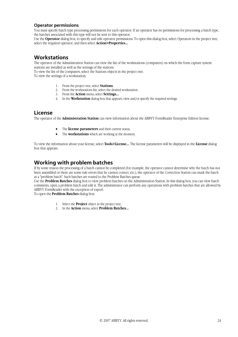### **Operator permissions**

You must specify batch type processing permissions for each operator. If an operator has no permissions for processing a batch type, the batches associated with this type will not be sent to this operator.

Use the **Operator** dialog box, to specify and edit operator permissions. To open this dialog box, select Operators in the project tree, select the required operator, and then select **Action>Properties...**

# **Workstations**

The operator of the Administration Station can view the list of the workstations (computers) on which the form capture system stations are installed as well as the settings of the stations.

To view the list of the computers, select the Stations objects in the project tree.

To view the settings of a workstation:

- 1. From the project tree, select **Stations**.
- 2. From the workstations list, select the desired workstation.
- 3. From the **Action** menu, select **Settings...**
- 4. In the **Workstation** dialog box that appears, view and/or specify the required settings.

# **License**

The operator of the **Administration Station** can view information about the ABBYY FormReader Enterprise Edition license:

- The **license parameters** and their current status,
- The **workstations** which are working at the moment.

To view the information about your license, select **Tools>License...** The license parameters will be displayed in the **License** dialog box that appears.

# **Working with problem batches**

If by some reason the processing of a batch cannot be completed (for example, the operator cannot determine why the batch has not been assembled or there are some rule errors that he cannot correct, etc.), the operator of the Correction Station can mark the batch as a "problem batch". Such batches are routed to the Problem Batches queue.

Use the **Problem Batches** dialog box to view problem batches on the Administration Station. In this dialog box, you can view batch comments, open a problem batch and edit it. The administrator can perform any operations with problem batches that are allowed by ABBYY FormReader with the exception of export.

To open the **Problem Batches** dialog box:

- 1. Select the **Project** object in the project tree;
- 2. In the **Action** menu, select **Problem Batches...**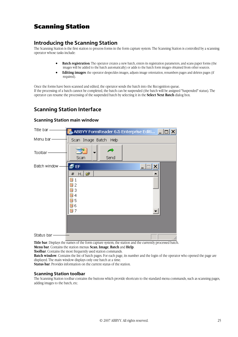# Scanning Station

# **Introducing the Scanning Station**

The Scanning Station is the first station to process forms in the form capture system. The Scanning Station is controlled by a scanning operator whose tasks include:

- **Batch registration**: The operator creates a new batch, enters its registration parameters, and scans paper forms (the images will be added to the batch automatically) or adds to the batch form images obtained from other sources.
- **Editing images**: the operator despeckles images, adjusts image orientation, renumbers pages and deletes pages (if required).

Once the forms have been scanned and edited, the operator sends the batch into the Recognition queue. If the processing of a batch cannot be completed, the batch can be suspended (the batch will be assigned "Suspended" status). The operator can resume the processing of the suspended batch by selecting it in the **Select Next Batch** dialog box.

# **Scanning Station Interface**

### **Scanning Station main window**

| Title bar-   | ABBYY FormReader 6.5 Enterprise Editi <b>THE</b> |
|--------------|--------------------------------------------------|
| Menu bar-    | Scan Image Batch Help                            |
| Toolbar      | Send<br>Scan                                     |
| Batch window | EF                                               |
|              | $H.$ $\vec{z}$<br>#                              |
|              | 瀶<br>2                                           |
|              | 3                                                |
|              | 4<br><b>₩5</b>                                   |
|              | 龜 6<br>劃 7                                       |
|              |                                                  |
|              |                                                  |
| Status bar-  | M                                                |

**Title bar**. Displays the names of the form capture system, the station and the currently processed batch. **Menu bar**. Contains the station menus: **Scan**, **Image**, **Batch** and **Help**.

**Toolbar**. Contains the most frequently used station commands.

**Batch window**. Contains the list of batch pages. For each page, its number and the login of the operator who opened the page are displayed. The main window displays only one batch at a time.

**Status bar**. Provides information on the current status of the station.

### **Scanning Station toolbar**

The Scanning Station toolbar contains the buttons which provide shortcuts to the standard menu commands, such as scanning pages, adding images to the batch, etc.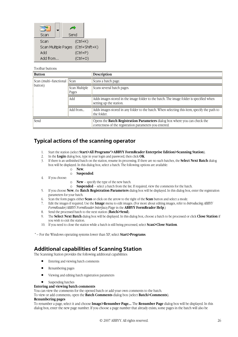

#### Toolbar buttons:

| <b>Button</b>                     |                        | Description                                                                                                                                  |  |
|-----------------------------------|------------------------|----------------------------------------------------------------------------------------------------------------------------------------------|--|
| Scan (multi-functional<br>button) | Scan                   | Scans a batch page.                                                                                                                          |  |
|                                   | Scan Multiple<br>Pages | Scans several batch pages.                                                                                                                   |  |
|                                   | Add                    | Adds images stored in the image folder to the batch. The image folder is specified when<br>setting up the station.                           |  |
|                                   | Add from               | Adds images stored in any folder to the batch. When selecting this item, specify the path to<br>the folder.                                  |  |
| Send                              |                        | Opens the <b>Batch Registration Parameters</b> dialog box where you can check the<br>correctness of the registration parameters you entered. |  |

# **Typical actions of the scanning operator**

- 1. Start the station (select **Start>All Programs\*>ABBYY FormReader Enterprise Edition>Scanning Station**).
- 2. In the **Login** dialog box, type in your login and password, then click **OK**.
- 3. If there is an unfinished batch on the station, resume its processing. If there are no such batches, the **Select Next Batch** dialog box will be displayed. In this dialog box, select a batch. The following options are available:
	- o **New**,
		- o **Suspended**.
- 4. If you choose:
	- o **New**  specify the type of the new batch.
	- o **Suspended**  select a batch from the list. If required, view the comments for the batch.
- 5. If you choose **New**, the **Batch Registration Parameters** dialog box will be displayed. In this dialog box, enter the registration parameters for your batch.
- 6. Scan the form pages: either **Scan** or click on the arrow to the right of the **Scan** button and select a mode.
- 7. Edit the images if required. Use the **Image** menu to edit images. (For more about editing images, refer to *Introducing ABBYY FormReader/ABBYY FormReader Interface/Page* in the **ABBYY FormReader Help**.)
- 8. Send the processed batch to the next station (**Batch>Send**).
- 9. The **Select Next Batch** dialog box will be displayed. In this dialog box, choose a batch to be processed or click **Close Station** if you wish to exit the station.
- 10. If you need to close the station while a batch is still being processed, select **Scan>Close Station**.

\* – For the Windows operating systems lower than XP, select **Start>Programs**.

# **Additional capabilities of Scanning Station**

The Scanning Station provides the following additional capabilities:

- Entering and viewing batch comments
- Renumbering pages
- Viewing and editing batch registration parameters
- Suspending batches

#### **Entering and viewing batch comments**

You can view the comments for the opened batch or add your own comments to the batch.

To view or add comments, open the **Batch Comments** dialog box (select **Batch>Comments**).

#### **Renumbering pages**

To renumber a page, select it and choose **Image>Renumber Page...** The **Renumber Page** dialog box will be displayed. In this dialog box, enter the new page number. If you choose a page number that already exists, some pages in the batch will also be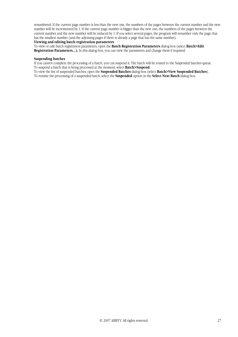renumbered. If the current page number is less than the new one, the numbers of the pages between the current number and the new number will be incremented by 1. If the current page number is bigger than the new one, the numbers of the pages between the current number and the new number will be reduced by 1. If you select several pages, the program will renumber only the page that has the smallest number (and the adjoining pages if there is already a page that has the same number).

# **Viewing and editing batch registration parameters**

To view or edit batch registration parameters, open the **Batch Registration Parameters** dialog box (select **Batch>Edit Registration Parameters...).** In this dialog box, you can view the parameters and change them if required.

#### **Suspending batches**

If you cannot complete the processing of a batch, you can suspend it. The batch will be routed to the Suspended batches queue. To suspend a batch that is being processed at the moment, select **Batch>Suspend**.

To view the list of suspended batches, open the **Suspended Batches** dialog box (select **Batch>View Suspended Batches**). To resume the processing of a suspended batch, select the **Suspended** option in the **Select Next Batch** dialog box.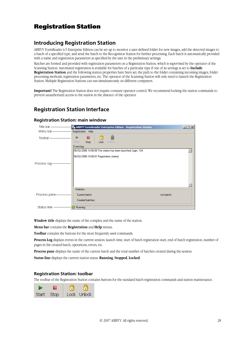# Registration Station

# **Introducing Registration Station**

ABBYY FormReader 6.5 Enterprise Edition can be set up to monitor a userdefined folder for new images, add the detected images to a batch of a specified type, and send the batch to the Recognition Station for further processing. Each batch is automatically provided with a name and registration parameters as specified by the user in the preliminary settings.

Batches are formed and provided with registration parameters on a Registration Station, which is supervised by the operator of the Scanning Station. Automated registration is available for batches of a particular type if one of its settings is set to **Include Registration Station** and the following station properties have been set: the path to the folder containing incoming images, folder processing methods, registration parameters, etc. The operator of the Scanning Station will only need to launch the Registration Station. Multiple Registration Stations can run simultaneously on different computers.

**Important!** The Registration Station does not require constant operator control. We recommend locking the station commands to prevent unauthorized access to the station in the absence of the operator.

# **Registration Station Interface**

#### Title bar ABBYY FormReader Enterprise Edition - Registration Station  $|\Box|$   $\times$   $|$ Menu bar Registration Help â Þ 巖 Ċ Toolbar Start Stop Lock Holock. Event log: 06/02/2006 14:06:00 The station has been launched, login: 124.  $\leftarrow$ 06/02/2006 14:06:01 Registration started Process log Statistics Process pane-Current batch: <no batch> Created batches Status line -**B** Running

**Registration Station: main window** 

**Window title** displays the name of the complex and the name of the station.

**Menu bar** contains the **Registration** and **Help** menus.

**Toolbar** contains the buttons for the most frequently used commands.

**Process Log** displays events in the current session: launch time, start of batch registration start, end of batch registration, number of pages in the created batch, operations, errors, etc.

**Process pane** displays the name of the current batch and the total number of batches created during the session.

**Status line** displays the current station status: **Running**, **Stopped**, **Locked**.

#### **Registration Station: toolbar**

The toolbar of the Registration Station contains buttons for the standard batch registration commands and station maintenance.

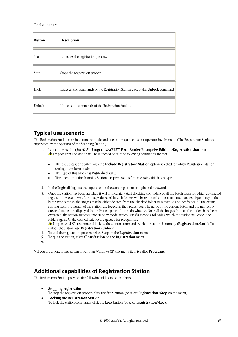Toolbar buttons:

| <b>Button</b> | Description                                                                  |
|---------------|------------------------------------------------------------------------------|
| Start         | Launches the registration process.                                           |
| Stop          | Stops the registration process.                                              |
| Lock          | Locks all the commands of the Registration Station except the Unlock command |
| Unlock        | Unlocks the commands of the Registration Station.                            |

# **Typical use scenario**

The Registration Station runs in automatic mode and does not require constant operator involvement. (The Registration Station is supervised by the operator of the Scanning Station.)

- 1. Launch the station (**Start**>**All Programs**>**ABBYY FormReader Enterprise Edition**>**Registration Station**). **Important!** The station will be launched only if the following conditions are met:
	- There is at least one batch with the **Include Registration Station** option selected for which Registration Station settings have been made;
	- The type of this batch has **Published** status;
	- The operator of the Scanning Station has permissions for processing this batch type.
- 2. In the **Login** dialog box that opens, enter the scanning operator login and password.
- 3. Once the station has been launched it will immediately start checking the folders of all the batch types for which automated registration was allowed. Any images detected in such folders will be extracted and formed into batches. depending on the batch type settings, the images may be either deleted from the checked folder or moved to another folder. All the events, starting from the launch of the station, are logged in the Process Log. The name of the current batch and the number of created batches are displayed in the Process pane of the main window. Once all the images from all the folders have been extracted, the station switches into standby mode, which lasts 60 seconds, following which the station will check the folders again. All the created batches are queued for recognition.

**Important!** We recommend locking the station commands while the station is running (**Registration**>**Lock**). To unlock the station, use **Registration**>**Unlock**.

- 4. To end the registration process, select **Stop** on the **Registration** menu.
- 5. To quit the station, select **Close Station** on the **Registration** menu.
- 6.

\* If you use an operating system lower than Windows XP, this menu item is called **Programs**.

# **Additional capabilities of Registration Station**

The Registration Station provides the following additional capabilities:

• **Stopping registration**

To stop the registration process, click the **Stop** button (or select **Registration**>**Stop** on the menu).

• **Locking the Registration Station** To lock the station commands, click the **Lock** button (or select **Registration**>**Lock**).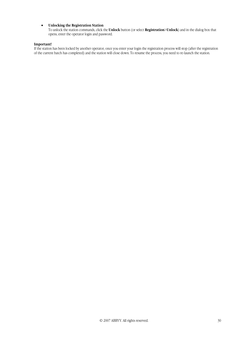#### • **Unlocking the Registration Station**

To unlock the station commands, click the **Unlock** button (or select **Registration**>**Unlock**) and in the dialog box that opens, enter the operator login and password.

#### **Important!**

If the station has been locked by another operator, once you enter your login the registration process will stop (after the registration of the current batch has completed) and the station will close down. To resume the process, you need to relaunch the station.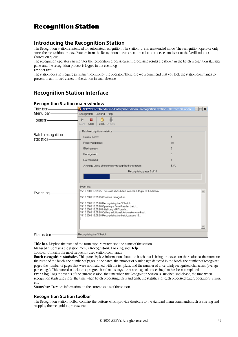# Recognition Station

# **Introducing the Recognition Station**

The Recognition Station is intended for automated recognition. The station runs in unattended mode. The recognition operator only starts the recognition process. Batches from the Recognition queue are automatically processed and sent to the Verification or Correction queue.

The recognition operator can monitor the recognition process: current processing results are shown in the batch recognition statistics pane, and the recognition process is logged in the event log.

#### **Important!**

The station does not require permanent control by the operator. Therefore we recommend that you lock the station commands to prevent unauthorized access to the station in your absence.

# **Recognition Station Interface**

| Title bar ——————                    | ABBYY FormReader 6.5 Enterprise Edition - Recognition Station - Batch '1' is open $\Box$ X                                                                                                                                                                                                                                                                                           |              |  |
|-------------------------------------|--------------------------------------------------------------------------------------------------------------------------------------------------------------------------------------------------------------------------------------------------------------------------------------------------------------------------------------------------------------------------------------|--------------|--|
| Menu bar —————                      | Recognition Locking Help                                                                                                                                                                                                                                                                                                                                                             |              |  |
| Toolbar-                            | ь<br>Я<br>Lock Unlock<br>Start Stop                                                                                                                                                                                                                                                                                                                                                  |              |  |
| Batch recognition<br>statistics ——— | Batch recognition statistics<br>Current batch:<br>Received pages:<br>Blank pages:<br>Recognized:<br>Not matched:                                                                                                                                                                                                                                                                     | 18<br>0<br>3 |  |
|                                     | Average value of uncertainly recognized characters:                                                                                                                                                                                                                                                                                                                                  | 53%          |  |
|                                     | Recognizing page 5 of 18<br>Event log:                                                                                                                                                                                                                                                                                                                                               |              |  |
| Event log-                          | 15.10.2003 16:05:25 The station has been launched, login: FRE6Admin.<br>15.10.2003 16:05:25 Continue recognition<br>15.10.2003 16:05:26 Recognizing the '1' batch<br>15.10.2003 16:05:26 Opening a FormReader batch<br>15.10.2003 16:05:28 Initializing MPF batch<br>15.10.2003 16:05:28 Calling additional Automation-method<br>15.10.2003 16:05:28 Recognizing the batch, pages 18 |              |  |
| Status bar-                         | Recognizing the '1' batch                                                                                                                                                                                                                                                                                                                                                            |              |  |

### **Recognition Station main window**

**Title bar.** Displays the name of the form capture system and the name of the station.

#### **Menu bar.** Contains the station menus: **Recognition, Locking** and **Help**.

**Toolbar.** Contains the most frequently used station commands.

**Batch recognition statistics.** This pane displays information about the batch that is being processed on the station at the moment: the name of the batch, the number of pages in the batch, the number of blank pages detected in the batch, the number of recognized pages, the number of pages that were not matched with the template, and the number of uncertainly recognized characters (average percentage). This pane also includes a progress bar that displays the percentage of processing that has been completed. **Event log.** Logs the events of the current session: the time when the Recognition Station is launched and closed, the time when recognition starts and stops, the time when batch processing starts and ends, the statistics for each processed batch, operations, errors, etc.

**Status bar.** Provides information on the current status of the station.

#### **Recognition Station toolbar**

The Recognition Station toolbar contains the buttons which provide shortcuts to the standard menu commands, such as starting and stopping the recognition process, etc.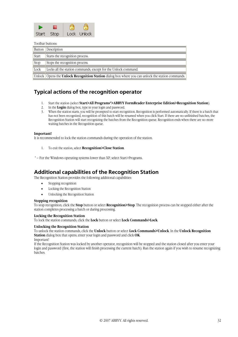

Toolbar buttons:

|       | Button Description                                                                                         |
|-------|------------------------------------------------------------------------------------------------------------|
| Start | Starts the recognition process.                                                                            |
| Stop  | Stops the recognition process.                                                                             |
| Lock  | Locks all the station commands, except for the Unlock command.                                             |
|       | Unlock   Opens the <b>Unlock Recognition Station</b> dialog box where you can unlock the station commands. |

# **Typical actions of the recognition operator**

- 1. Start the station (select **Start>All Programs\*>ABBYY FormReader Enterprise Edition>Recognition Station**).
- 2. In the **Login** dialog box, type in your login and password.
- 3. When the station starts, you will be prompted to start recognition. Recognition is performed automatically. If there is a batch that has not been recognized, recognition of this batch will be resumed when you click Start. If there are no unfinished batches, the Recognition Station will start recognizing the batches from the Recognition queue. Recognition ends when there are no more waiting batches in the Recognition queue.

#### **Important!**

It is recommended to lock the station commands during the operation of the station.

- 1. To exit the station, select **Recognition>Close Station**.
- \* For the Windows operating systems lower than XP, select Start>Programs.

# **Additional capabilities of the Recognition Station**

The Recognition Station provides the following additional capabilities:

- Stopping recognition
- Locking the Recognition Station
- Unlocking the Recognition Station

#### **Stopping recognition**

To stop recognition, click the **Stop** button or select **Recognition>Stop**. The recognition process can be stopped either after the station completes processing a batch or during processing.

#### **Locking the Recognition Station**

To lock the station commands, click the **Lock** button or select **Lock Commands>Lock**.

#### **Unlocking the Recognition Station**

To unlock the station commands, click the **Unlock** button or select **Lock Commands>Unlock**. In the **Unlock Recognition Station** dialog box that opens, enter your login and password and click **OK**. Important!

If the Recognition Station was locked by another operator, recognition will be stopped and the station closed after you enter your login and password (first, the station will finish processing the current batch). Run the station again if you wish to resume recognizing batches.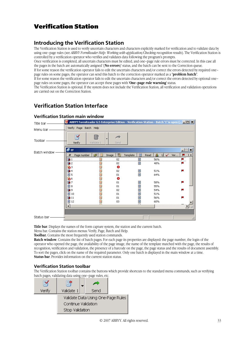# Verification Station

# **Introducing the Verification Station**

The Verification Station is used to verify uncertain characters and characters explicitly marked for verification and to validate data by using one–page rules (see *ABBYY FormReader Help: Working with application/Checking recognition results*). The Verification Station is controlled by a verification operator who verifies and validates data following the program's prompts.

Once verification is completed, all uncertain characters must be edited, and one–page rule errors must be corrected. In this case all the pages in the batch are automatically assigned '(**No errors**)' status, and the batch can be sent to the Correction queue.

If for some reason the verification operator fails to edit the uncertain characters and/or correct the errors detected by required one– page rules on some pages, the operator can send this batch to the correction operator marked as a "**problem batch**".

If for some reason the verification operator fails to edit the uncertain characters and/or correct the errors detected by optional one– page rules on some pages, the operator can accept these pages with **'One–page rule warning'** status.

The Verification Station is optional. If the system does not include the Verification Station, all verification and validation operations are carried out on the Correction Station.

# **Verification Station Interface**

| Title bar -  |                           | ABBYY FormReader 6.5 Enterprise Edition - Verification Station - Batch '1' is open ( 10) |               |             |     |                       |
|--------------|---------------------------|------------------------------------------------------------------------------------------|---------------|-------------|-----|-----------------------|
| Menu bar -   | Verify Page Batch Help    |                                                                                          |               |             |     |                       |
| Toolbar      | P<br>Verify               | Ξ.<br>Validate 1                                                                         | Send          |             |     |                       |
| Batch window | $\sqrt{\frac{2}{5}}$ EF   |                                                                                          |               |             |     |                       |
|              | #<br>Page number          | ☞<br>麠<br>Image                                                                          | 围<br>Template | 目<br>Read   | вh  | F<br>$F^*$<br>Ver<br> |
|              | $\overline{\mathbf{a}^1}$ |                                                                                          | 02            | E           | 56% |                       |
|              | 母2                        | ã                                                                                        | 02            | E           | 48% | ш                     |
|              | 勝っ                        | 齏                                                                                        | €             |             |     |                       |
|              | 国 4                       | 竈                                                                                        | 02            | ē           | 51% | Р                     |
|              | 圓5                        | à                                                                                        | 01            | E           | 64% |                       |
|              | 马.                        | 動動砲                                                                                      | €             |             |     |                       |
|              | 廛7                        |                                                                                          | 01            |             | 58% | F                     |
|              | 国8                        |                                                                                          | 01            | 00 00 00 00 | 55% |                       |
|              | 母9                        | 电电                                                                                       | 02            |             | 54% | д                     |
|              | 圓10                       |                                                                                          | 01            |             | 51% |                       |
|              | 母11                       | 雟                                                                                        | 01            | e           | 56% | д                     |
|              | ■12                       | Ò                                                                                        | 03            | $\Xi$       | 60% |                       |
|              | ন                         | œ.                                                                                       |               |             |     |                       |
|              |                           |                                                                                          |               |             |     |                       |
| Status bar   |                           |                                                                                          |               |             |     |                       |

# **Verification Station main window**

**Title bar**. Displays the names of the form capture system, the station and the current batch.

Menu bar. Contains the station menus: Verify, Page, Batch and Help.

**Toolbar.** Contains the most frequently used station commands.

**Batch window**. Contains the list of batch pages. For each page its properties are displayed: the page number, the login of the operator who opened the page, the availability of the page image, the name of the template matched with the page, the results of recognition, verification and validation, the presence of a barcode on the page, the page status and the results of document assembly. To sort the pages, click on the name of the required parameter. Only one batch is displayed in the main window at a time. **Status bar**. Provides information on the current station status.

# **Verification Station toolbar**

The Verification Station toolbar contains the buttons which provide shortcuts to the standard menu commands, such as verifying batch pages, validating data using one–page rules, etc.

| P      | 雪                                  |      |  |  |
|--------|------------------------------------|------|--|--|
| Verify | Validate 1                         | Send |  |  |
|        | Validate Data Using One-Page Rules |      |  |  |
|        | Continue Validation                |      |  |  |
|        | Stop Validation                    |      |  |  |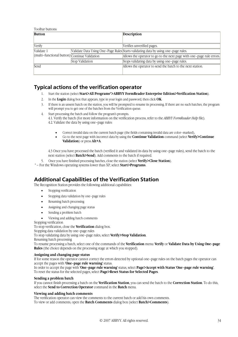Toolbar buttons:

| <b>Button</b>                                 |                 | <b>Description</b>                                                                 |
|-----------------------------------------------|-----------------|------------------------------------------------------------------------------------|
|                                               |                 |                                                                                    |
| Verify                                        |                 | Verifies unverified pages.                                                         |
| Validate 1                                    |                 | Validate Data Using One-Page Rules Starts validating data by using one-page rules. |
| (multi-functional button) Continue Validation |                 | Allows the operator to go to the next page with one-page rule errors.              |
|                                               | Stop Validation | Stops validating data by using one-page rules.                                     |
| Send                                          |                 | Allows the operator to send the batch to the next station.                         |
|                                               |                 |                                                                                    |

# **Typical actions of the verification operator**

- 1. Start the station (select **Start>All Programs\*>ABBYY FormReader Enterprise Edition>Verification Station**).
- 2. In the **Login** dialog box that appears, type in your login and password, then click **OK**.
- 3. If there is an unsent batch on the station, you will be prompted to resume its processing. If there are no such batches, the program will prompt you to get one of the batches from the Verification queue.
- 4. Start processing the batch and follow the program's prompts. 4.1. Verify the batch (for more information on the verification process, refer to the *ABBYY FormReader Help* file). 4.2. Validate the data by using one–page rules:
	- Correct invalid data on the current batch page (the fields containing invalid data are color–marked),
	- Go to the next page with incorrect data by using the **Continue Validation** command (select **Verify>Continue Validation**) or press **Alt+A**.

4.3 Once you have processed the batch (verified it and validated its data by using one–page rules), send the batch to the next station (select **Batch>Send**). Add comments to the batch if required.

- 5. Once you have finished processing batches, close the station (select **Verify>Close Station**).
- \* For the Windows operating systems lower than XP, select **Start>Programs**.

# **Additional Capabilities of the Verification Station**

The Recognition Station provides the following additional capabilities:

- Stopping verification
- Stopping data validation by one–page rules
- Resuming batch processing
- Assigning and changing page status
- Sending a problem batch

• Viewing and adding batch comments

Stopping verification

To stop verification, close the **Verification** dialog box.

Stopping data validation by one–page rules

To stop validating data by using one–page rules, select **Verify>Stop Validation**.

Resuming batch processing

To resume processing a batch, select one of the commands of the **Verification** menu: **Verify** or **Validate Data by Using One–page Rules** (the choice depends on the processing stage at which you stopped).

#### **Assigning and changing page status**

If for some reason the operator cannot correct the errors detected by optional one–page rules on the batch pages the operator can accept the pages with **'One–page rule warning'** status.

In order to accept the page with **'One–page rule warning'** status, select **Page>Accept with Status 'One–page rule warning'**. To reset the status for the selected pages, select **Page>Reset Status for Selected Pages**.

#### **Sending a problem batch**

If you cannot finish processing a batch on the **Verification Station**, you can send the batch to the **Correction Station**. To do this, select the **Send to Correction Operator** command in the **Batch** menu.

#### **Viewing and adding batch comments**

The verification operator can view the comments to the current batch or add his own comments. To view or add comments, open the **Batch Comments** dialog box (select **Batch>Comments**).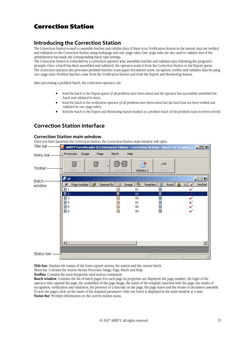# Correction Station

# **Introducing the Correction Station**

The Correction Station is used to assemble batches and validate data. If there is no Verification Station in the system, data are verified and validated on the Correction Station using multipage and one–page rules. One–page rules are also used to validate data if the administrator has made the corresponding batch type settings.

The Correction Station is controlled by a correction operator who assembles batches and validates data following the program's prompts. Once a batch has been assembled and validated, the operator sends it from the Correction Station to the Export queue. The correction operator also processes problem batches: scans paper documents anew, recognizes, verifies and validates data by using one–page rules. Problem batches come from the Verification Station and from the Export and Monitoring Station.

After processing a problem batch, the correction operator can:

- Send the batch to the Export queue (if all problems have been solved and the operator has successfully assembled the batch and validated its data);
- Send the batch to the verification operator (if all problems have been solved but the batch has not been verified and validated by one–page rules);
- Send the batch to the Export and Monitoring Station marked as a problem batch (if the problems have not been solved).

# **Correction Station Interface**

#### **Correction Station main window**

Once you have launched the Correction Station, the Correction Station main window will open.



**Title bar.** Displays the names of the form capture system, the station and the current batch.

Menu bar. Contains the station menus: Processes, Image, Page, Batch and Help.

**Toolbar.** Contains the most frequently used station commands.

**Batch window**. Contains the list of batch pages. For each page its properties are displayed: the page number, the login of the operator who opened the page, the availability of the page image, the name of the template matched with the page, the results of recognition, verification and validation, the presence of a barcode on the page, the page status and the results of document assembly. To sort the pages, click on the name of the required parameter. Only one batch is displayed in the main window at a time. **Status bar.** Provides information on the current station status.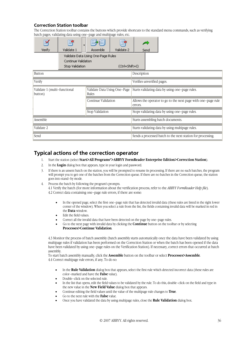# **Correction Station toolbar**

The Correction Station toolbar contains the buttons which provide shortcuts to the standard menu commands, such as verifying batch pages, validating data using one–page and multipage rules, etc.

| Verify                                  | 哥<br>Validate 1                        | Assemble                              | Validate 2                                       |                                                             | Send |                                                               |
|-----------------------------------------|----------------------------------------|---------------------------------------|--------------------------------------------------|-------------------------------------------------------------|------|---------------------------------------------------------------|
|                                         | Continue Validation<br>Stop Validation | Validate Data Using One-Page Rules    | (Ctrl+Shift+I)                                   |                                                             |      |                                                               |
| <b>Button</b>                           |                                        |                                       |                                                  | Description                                                 |      |                                                               |
| Verify                                  |                                        |                                       |                                                  | Verifies unverified pages.                                  |      |                                                               |
| Validate 1 (multi-functional<br>button) |                                        | Validate Data Using One–Page<br>Rules |                                                  |                                                             |      | Starts validating data by using one-page rules.               |
|                                         |                                        | Continue Validation                   |                                                  | errors.                                                     |      | Allows the operator to go to the next page with one-page rule |
|                                         |                                        | Stop Validation                       |                                                  |                                                             |      | Stops validating data by using one-page rules.                |
| Assemble                                |                                        |                                       | Starts assembling batch documents.               |                                                             |      |                                                               |
| Validate 2                              |                                        |                                       | Starts validating data by using multipage rules. |                                                             |      |                                                               |
| Send                                    |                                        |                                       |                                                  | Sends a processed batch to the next station for processing. |      |                                                               |

# **Typical actions of the correction operator**

- 1. Start the station (select **Start>All Programs\*>ABBYY FormReader Enterprise Edition>Correction Station**).
- 2. In the **Login** dialog box that appears, type in your login and password.
- 3. If there is an unsent batch on the station, you will be prompted to resume its processing. If there are no such batches, the program will prompt you to get one of the batches from the Correction queue. If there are no batches in the Correction queue, the station goes into stand–by mode.
- Process the batch by following the program's prompts. 4.1 Verify the batch (for more information about the verification process, refer to the *ABBYY FormReader Help file*). 4.2 Correct data containing one–page rule errors, if there are some:
	- In the opened page, select the first one–page rule that has detected invalid data (these rules are listed in the right lower corner of the window). When you select a rule from the list, the fields containing invalid data will be marked in red in the **Data** window.
	- Edit the field values.
	- Correct all the invalid data that have been detected on the page by one–page rules.
	- Go to the next page with invalid data by clicking the **Continue** button on the toolbar or by selecting **Processes>Continue Validation**.

4.3 Monitor the process of batch assembly (batch assembly starts automatically once the data have been validated by using multipage rules if validation has been performed on the Correction Station or when the batch has been opened if the data have been validated by using one–page rules on the Verification Station). If necessary, correct errors that occurred at batch assembly.

To start batch assembly manually, click the **Assemble** button on the toolbar or select **Processes>Assemble**. 4.4 Correct multipage rule errors, if any. To do so:

- In the **Rule Validation** dialog box that appears, select the first rule which detected incorrect data (these rules are color–marked and have the **False** value).
- Double–click on the selected rule.
- In the list that opens, edit the field values to be validated by the rule. To do this, double–click on the field and type in the new value in the **New Field Value** dialog box that appears.
- Continue editing the field values until the value of the multipage rule changes to **True**.
- Go to the next rule with the **False** value.
- Once you have validated the data by using multipage rules, close the **Rule Validation** dialog box.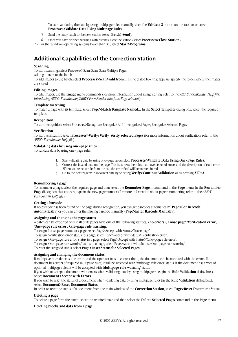To start validating the data by using multipage rules manually, click the **Validate 2** button on the toolbar or select **Processes>Validate Data Using Multipage Rules**.

- 5. Send the ready batch to the next station (select **Batch>Send**).
- 6. Once you have finished working with batches, close the station (select **Processes>Close Station**).

\* – For the Windows operating systems lower than XP, select **Start>Programs**.

# **Additional Capabilities of the Correction Station**

#### **Scanning**

To start scanning, select Processes>Scan: Scan, Scan Multiple Pages.

Adding images to the batch

To add images to the batch, select **Processes>Scan>Add from...** In the dialog box that appears, specify the folder where the images are stored.

#### **Editing images**

To edit images, use the **Image** menu commands (for more information about image editing, refer to the *ABBYY FormReader Help file*: *Introducing ABBYY FormReader/ABBYY FormReader interface/Page window*).

#### **Template matching**

To match a page with its template, select **Page>Match Template Named...** In the **Select Template** dialog box, select the required template.

#### **Recognition**

To start recognition, select Processes>Recognize: Recognize All Unrecognized Pages, Recognize Selected Pages.

#### **Verification**

To start verification, select **Processes>Verify: Verify, Verify Selected Pages** (for more information about verification, refer to the *ABBYY FormReader Help file*).

#### **Validating data by using one–page rules**

To validate data by using one–page rules:

- 1. Start validating data by using one–page rules: select **Processes>Validate Data Using One–Page Rules**.
- 2. Correct the invalid data on the page. The list shows the rules that have detected errors and the description of each error. When you select a rule from the list, the error field will be marked in red.
- 3. Go to the next page with incorrect data by selecting **Verify>Continue Validation** or by pressing **ALT+A**.

#### **Renumbering a page**

To renumber a page, select the required page and then select the **Renumber Page...** command in the **Page** menu. In the **Renumber Page** dialog box that appears, type in the new page number (for more information about page renumbering, refer to the *ABBYY FormReader Help file*).

#### **Getting a barcode**

If no barcode has been found on the page during recognition, you can get barcodes automatically (**Page>Get Barcode Automatically**) or you can enter the missing barcode manually (**Page>Enter Barcode Manually**).

#### **Assigning and changing the page status**

A batch can be exported only if all of its pages have one of the following statuses: '(**no errors**)', **'Loose page'**, **'Verification error'**,

# **'One**–**page rule error'**, **'One–page rule warning'**.

To assign 'Loose page' status to a page, select Page>Accept with Status>'Loose page'.

To assign 'Verification error' status to a page, select Page>Accept with Status>'Verification error'.

To assign 'One–page rule error' status to a page, select Page>Accept with Status>'One–page rule error'.

To assign 'One–page rule warning' status to a page, select Page>Accept with Status>'One–page rule warning'.

To reset the assigned status, select **Page>Reset Status for Selected Pages**.

#### **Assigning and changing the document status**

If multipage rules detect some errors and the operator fails to correct them, the document can be accepted with the errors. If the document has errors of required multipage rules, it will be accepted with 'Multipage rule error' status. If the document has errors of optional multipage rules, it will be accepted with **'Multipage rule warning'** status.

If you wish to accept a document with errors when validating data by using multipage rules (in the **Rule Validation** dialog box), select **Document>Accept with Errors**.

If you wish to reset the status of a document when validating data by using multipage rules (in the **Rule Validation** dialog box), select **Document>Reset Document Status**.

In order to reset the status of a document from the main window of the **Correction Station**, select **Page>Reset Document Status**.

#### **Deleting a page**

To delete a page form the batch, select the required page and then select the **Delete Selected Pages** command in the **Page** menu.

#### **Deleting blocks and data from a page**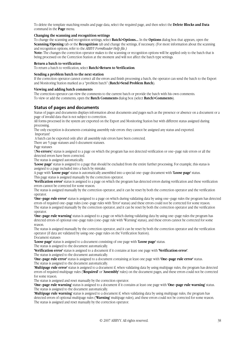To delete the template matching results and page data, select the required page, and then select the **Delete Blocks and Data**  command in the **Page** menu.

#### **Changing the scanning and recognition settings**

To change the scanning and recognition settings, select **Batch>Options...** In the **Options** dialog box that appears, open the **Scanning/Opening** tab or the **Recognition** tab and change the settings, if necessary. (For more information about the scanning and recognition options, refer to the *ABBYY FormReader Help file.)*

**Note:** The changes the correction operator makes to the scanning or recognition options will be applied only to the batch that is being processed on the Correction Station at the moment and will not affect the batch type settings.

#### **Return a batch to verification**

To return a batch to verification, select **Batch>Return to Verification**.

#### **Sending a problem batch to the next station**

If the correction operator cannot correct all the errors and finish processing a batch, the operator can send the batch to the Export and Monitoring Station marked as a "problem batch" (**Batch>Send Problem Batch**).

#### **Viewing and adding batch comments**

The correction operator can view the comments to the current batch or provide the batch with his own comments. To view or add the comments, open the **Batch Comments** dialog box (select **Batch>Comments**).

### **Status of pages and documents**

Status of pages and documents displays information about documents and pages such as the presence or absence on a document or a page of invalid data that is not subject to correction.

All forms processed in the system are exported on the Export and Monitoring Station but with different status assigned during processing.

The only exception is documents containing assembly rule errors: they cannot be assigned any status and exported. Important!

A batch can be exported only after all assembly rule errors have been corrected.

There are 5 page statuses and 6 document statuses.

#### Page statuses

'(**No errors**)' status is assigned to a page on which the program has not detected verification or one–page rule errors or all the detected errors have been corrected.

The status is assigned automatically.

**'Loose page'** status is assigned to a page that should be excluded from the entire further processing. For example, this status is assigned to a page included into a batch by mistake.

A page with **'Loose page'** status is automatically assembled into a special one–page document with **'Loose page'** status. This page status is assigned manually by the correction operator.

**'Verification error'** status is assigned to a page on which the program has detected errors during verification and these verification errors cannot be corrected for some reason.

The status is assigned manually by the correction operator, and it can be reset by both the correction operator and the verification operator.

**'One–page rule error'** status is assigned to a page on which during validating data by using one–page rules the program has detected errors of required one–page rules (one–page rules with 'Error' status) and these errors could not be corrected for some reason. The status is assigned manually by the correction operator, and it can be reset by both the correction operator and the verification operator.

**'One–page rule warning'** status is assigned to a page on which during validating data by using one–page rules the program has detected errors of optional one–page rules (one–page rule with 'Warning' status), and these errors cannot be corrected for some reason.

The status is assigned manually by the correction operator, and it can be reset by both the correction operator and the verification operator (if data are validated by using one–page rules on the Verification Station).

Document statuses

**'Loose page'** status is assigned to a document consisting of one page with **'Loose page'** status.

The status is assigned to the document automatically.

**'Verification error'** status is assigned to a document if it contains at least one page with **'Verification error'**.

The status is assigned to the document automatically.

**'One–page rule error'** status is assigned to a document containing at least one page with **'One–page rule error'** status. The status is assigned to the document automatically.

**'Multipage rule error'** status is assigned to a document if, when validating data by using multipage rules, the program has detected errors of required multipage rules (**'Required'** or **'Assembly'** rules) on the document pages, and these errors could not be corrected for some reason.

The status is assigned and reset manually by the correction operator.

'**One–page rule warning'** status is assigned to a document if it contains at least one page with '**One–page rule warning'** status. The status is assigned to the document automatically.

**'Multipage rule warning'** status is assigned to a document if, when validating data by using multipage rules, the program has detected errors of optional multipage rules (**'Warning'** multipage rules), and these errors could not be corrected for some reason. The status is assigned and reset manually by the correction operator.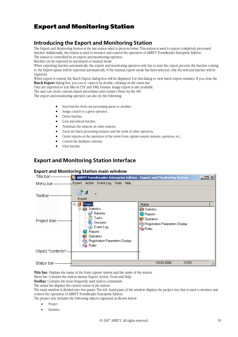# Export and Monitoring Station

# **Introducing the Export and Monitoring Station**

The Export and Monitoring Station is the last station used to process forms. This station is used to export completely processed batches. Additionally, the station is used to monitor and control the operation of ABBYY FormReader Enterprise Edition. The station is controlled by an export and monitoring operator.

Batches can be exported in automated or manual mode.

When exporting batches automatically, the export and monitoring operator only has to start the export process: the batches coming to the Export queue will be exported automatically. If the manual export mode has been selected, only the selected batches will be exported.

When export is started, the Batch Export dialog box will be displayed. Use this dialog to view batch export statistics. If you close the **Batch Export** dialog box, you can re–open it by double–clicking on the status bar.

Data are exported to text files in CSV and XML formats. Image export is also available.

The user can create custom export procedures and connect them via the API.

The export and monitoring operator can also do the following:

- Send batches from one processing queue to another,
- Assign a batch to a given operator,
- Delete batches,
- Lock and unlock batches,
- Terminate the sessions on other stations,
- Track the batch processing statistics and the work of other operators,
- Create reports on the operation of the entire form capture system, stations, operators, etc.,
- Control the database contents,
- View batches.

# **Export and Monitoring Station Interface**

### **Export and Monitoring Station main window**

| Title bar-         | ABBYY FormReader Enterprise Edition - Export and Monitoring Station                                                                                                                                                                                                                                             | <u>니미지</u> |
|--------------------|-----------------------------------------------------------------------------------------------------------------------------------------------------------------------------------------------------------------------------------------------------------------------------------------------------------------|------------|
| Menu bar-          | Export Action Event-Log Tools Help                                                                                                                                                                                                                                                                              |            |
| Toolbar            | Export<br>Project<br>Name<br>日暮                                                                                                                                                                                                                                                                                 |            |
| Project tree-      | <b>ALL</b> Statistics<br>口<br><b>Lu</b> Statistics<br>∰ Batches<br><b>图</b> Reports<br>Tasks<br><b>Operators</b><br><b>B</b> Sessions<br><b>Pa</b> Registration Parameters Display<br>i Event Log<br><b>Rules</b><br>Reports<br><b>B</b> Operators<br><b>Pa</b> Registration Parameters Display<br>$\geq$ Rules |            |
| Object "contents". |                                                                                                                                                                                                                                                                                                                 |            |
| Status bar         | 10.03.2006<br>13:53                                                                                                                                                                                                                                                                                             |            |

**Title bar.** Displays the name of the form capture system and the name of the station.

Menu bar. Contains the station menus: Export, Action, Tools and Help.

**Toolbar.** Contains the most frequently used station commands.

The status bar displays the current status of the station.

The main window is divided into two panes. The left–hand pane of the window displays the project tree that is used to monitor and control the operation of ABBYY FormReader Enterprise Edition.

The project tree includes the following objects organized as shown below:

- Project
- **Statistics**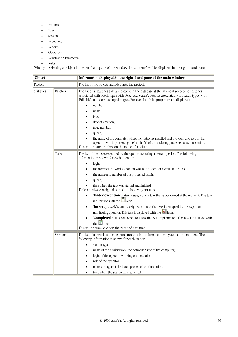- Batches
- Tasks
- Sessions
- Event Log
- Reports
- Operators
- Registration Parameters
- Rules

When you selecting an object in the left–hand pane of the window, its "contents" will be displayed in the right–hand pane.

| Object            |                | Information displayed in the right-hand pane of the main window:                                                                                                                                                                                                                                                                                                                                                                                                                                                                                                                                                                                                                                                                                                                                                                                                               |  |  |
|-------------------|----------------|--------------------------------------------------------------------------------------------------------------------------------------------------------------------------------------------------------------------------------------------------------------------------------------------------------------------------------------------------------------------------------------------------------------------------------------------------------------------------------------------------------------------------------------------------------------------------------------------------------------------------------------------------------------------------------------------------------------------------------------------------------------------------------------------------------------------------------------------------------------------------------|--|--|
| Project           |                | The list of the objects included into the project.                                                                                                                                                                                                                                                                                                                                                                                                                                                                                                                                                                                                                                                                                                                                                                                                                             |  |  |
| <b>Statistics</b> | <b>Batches</b> | The list of all batches that are present in the database at the moment (except for batches<br>associated with batch types with 'Reserved' status). Batches associated with batch types with<br>'Editable' status are displayed in grey. For each batch its properties are displayed:<br>number,<br>name,<br>type,<br>date of creation,<br>page number,<br>queue,<br>the name of the computer where the station is installed and the login and role of the<br>operator who is processing the batch if the batch is being processed on some station.<br>To sort the batches, click on the name of a column.                                                                                                                                                                                                                                                                      |  |  |
|                   | Tasks          | The list of the tasks executed by the operators during a certain period. The following<br>information is shown for each operator:<br>login,<br>the name of the workstation on which the operator executed the task,<br>the name and number of the processed batch,<br>queue,<br>time when the task was started and finished.<br>Tasks are always assigned one of the following statuses:<br>'Under execution' status is assigned to a task that is performed at the moment. This task<br>is displayed with the $\Box$ icon.<br>'Interrupt task' status is assigned to a task that was interrupted by the export and<br>$\bullet$<br>monitoring operator. This task is displayed with the <b>X</b> icon.<br>'Completed' status is assigned to a task that was implemented. This task is displayed with<br>the $\Box$ icon.<br>To sort the tasks, click on the name of a column. |  |  |
|                   | Sessions       | The list of all workstation sessions running in the form capture system at the moment. The<br>following information is shown for each station:<br>station type,<br>٠<br>name of the workstation (the network name of the computer),<br>login of the operator working on the station,<br>role of the operator,<br>name and type of the batch processed on the station,<br>time when the station was launched.                                                                                                                                                                                                                                                                                                                                                                                                                                                                   |  |  |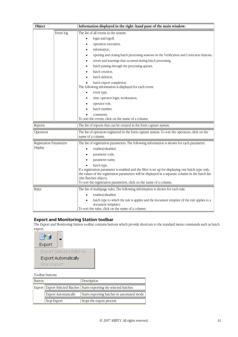| Object                                    |                                                                     | Information displayed in the right-hand pane of the main window:                                                                                                                                                                                                                                                                                                                                                                                                                                                                                                                                                                                            |  |  |  |
|-------------------------------------------|---------------------------------------------------------------------|-------------------------------------------------------------------------------------------------------------------------------------------------------------------------------------------------------------------------------------------------------------------------------------------------------------------------------------------------------------------------------------------------------------------------------------------------------------------------------------------------------------------------------------------------------------------------------------------------------------------------------------------------------------|--|--|--|
|                                           | Event log                                                           | The list of all events in the system:<br>login and logoff,<br>$\bullet$<br>operation execution,<br>٠<br>information,<br>$\bullet$<br>opening and closing batch processing sessions on the Verification and Correction Stations,<br>٠<br>errors and warnings that occurred during batch processing,<br>batch passing through the processing queues,<br>batch creation,<br>batch deletion,<br>batch export completion.<br>The following information is displayed for each event:<br>event type,<br>$\bullet$<br>time, operator login, workstation,<br>٠<br>operator role,<br>batch number,<br>comments.<br>To sort the events, click on the name of a column. |  |  |  |
| Reports                                   | The list of reports that can be created in the form capture system. |                                                                                                                                                                                                                                                                                                                                                                                                                                                                                                                                                                                                                                                             |  |  |  |
| Operators                                 |                                                                     | The list of operators registered in the form capture system. To sort the operators, click on the<br>name of a column.                                                                                                                                                                                                                                                                                                                                                                                                                                                                                                                                       |  |  |  |
| <b>Registration Parameters</b><br>Display |                                                                     | The list of registration parameters. The following information is shown for each parameter:<br>enabled/disabled,<br>parameter code,<br>parameter name,<br>batch type.<br>If a registration parameter is enabled and the filter is set up for displaying one batch type only,<br>the values of the registration parameters will be displayed in a separate column in the batch list<br>(the Batches object).<br>To sort the registration parameters, click on the name of a column.                                                                                                                                                                          |  |  |  |
| Rules                                     |                                                                     | The list of multipage rules. The following information is shown for each rule:<br>enabled/disabled,<br>batch type to which the rule is applies and the document template (if the rule applies to a<br>document template).<br>To sort the rules, click on the name of a column.                                                                                                                                                                                                                                                                                                                                                                              |  |  |  |

### **Export and Monitoring Station toolbar**

The Export and Monitoring Station toolbar contains buttons which provide shortcuts to the standard menu commands such as batch export.

| PI          |                                |
|-------------|--------------------------------|
| Export      |                                |
|             | <b>Export Selected Batches</b> |
|             | Export Automatically           |
| Stop Export |                                |

### Toolbar buttons:

| Button |                             | Description                                                             |
|--------|-----------------------------|-------------------------------------------------------------------------|
|        |                             | Export Export Selected Batches   Starts exporting the selected batches. |
|        | <b>Export Automatically</b> | Starts exporting batches in automated mode.                             |
|        | Stop Export                 | Stops the export process.                                               |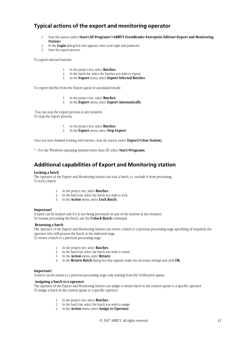# **Typical actions of the export and monitoring operator**

- 1. Start the station (select **Start>All Programs\*>ABBYY FormReader Enterprise Edition>Export and Monitoring Station**)
- 2. In the **Login** dialog box that appears, enter your login and password.
- 3. Start the export process.

To export selected batches:

- 1. In the project tree, select **Batches**.
- 2. In the batch list, select the batches you wish to export.
- 3. In the **Export** menu, select **Export Selected Batches**.

To export batches from the Export queue in automated mode:

- 1. In the project tree, select **Batches**.
- 2. In the **Export** menu, select **Export Automatically**.

 You can stop the export process at any moment. To stop the export process:

- 1. In the project tree, select **Batches**.
- 2. In the **Export** menu, select **Stop Export**.

Once you have finished working with batches, close the station (select **Export>Close Station**).

\* – For the Windows operating systems lower than XP, select **Start>Programs**.

# **Additional capabilities of Export and Monitoring station**

#### **Locking a batch**

The operator of the Export and Monitoring Station can lock a batch, i.e. exclude it from processing. To lock a batch:

- 1. In the project tree, select **Batches**.
- 2. In the batch list, select the batch you wish to lock.
- 3. In the **Action** menu, select **Lock Batch**.

#### **Important!**

A batch can be locked only if it is not being processed on any of the stations at the moment. To resume processing the batch, use the **Unlock Batch** command.

#### **Returning a batch**

The operator of the Export and Monitoring Station can return a batch to a previous processing stage specifying (if required) the operator who will process the batch at the indicated stage. To return a batch to a previous processing stage:

- 1. In the project tree, select **Batches**.
- 2. In the batch list, select the batch you wish to return.
- 3. In the **Action** menu, select **Return**.
- 4. In the **Return Batch** dialog box that appears, make the necessary settings and click **OK**.

#### **Important!**

A batch can be return to a previous processing stage only starting from the Verification queue.

#### **Assigning a batch to a operator**

The operator of the Export and Monitoring Station can assign a certain batch in the current queue to a specific operator. To assign a batch in the current queue to a specific operator:

- 1. In the project tree, select **Batches**.
- 2. In the batch list, select the batch you wish to assign.
- 3. In the **Action** menu, select **Assign to Operator**.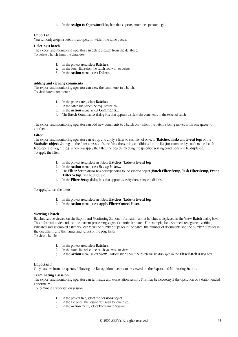4. In the **Assign to Operator** dialog box that appears, enter the operator login.

#### **Important!**

You can only assign a batch to an operator within the same queue.

#### **Deleting a batch**

The export and monitoring operator can delete a batch from the database. To delete a batch from the database:

- 1. In the project tree, select **Batches**.
- 2. In the batch list, select the batch you wish to delete.
- 3. In the **Action** menu, select **Delete**.

#### **Adding and viewing comments**

The export and monitoring operator can view the comments to a batch. To view batch comments:

- 1. In the project tree, select **Batches**.
- 2. In the batch list, select the required batch.
- 3. In the **Action** menu, select **Comments...**
- 4. The **Batch Comments** dialog box that appears displays the comments to the selected batch.

The export and monitoring operator can add new comments to a batch only when the batch is being moved from one queue to another.

#### **Filter**

The export and monitoring operator can set up and apply a filter to each list of objects (**Batches, Tasks** and **Event log**) of the **Statistics object**. Setting up the filter consists of specifying the sorting conditions for the list (for example, by batch name, batch type, operator login, etc.). When you apply the filter, the objects meeting the specified sorting conditions will be displayed. To apply the filter:

- 1. In the project tree, select an object: **Batches, Tasks** or **Event log**.
- 2. In the **Action** menu, select **Set up Filter...**
- 3. The **Filter Setup** dialog box corresponding to the selected object (**Batch Filter Setup, Task Filter Setup, Event Filter Setup)** will be displayed.
- 4. In the **Filter Setup** dialog box that appears, specify the sorting conditions.

To apply/cancel the filter:

- 1. In the project tree, select an object: **Batches, Tasks** or **Event log**.
- 2. In the **Action** menu, select **Apply Filter/Cancel Filter**.

#### **Viewing a batch**

Batches can be viewed on the Export and Monitoring Station. Information about batches is displayed in the **View Batch** dialog box. This information depends on the current processing stage of a particular batch. For example, for a scanned, recognized, verified, validated and assembled batch you can view the number of pages in the batch, the number of documents and the number of pages in the document, and the names and values of the page fields.

To view a batch:

- 1. In the project tree, select **Batches**.
- 2. In the batch list, select the batch you wish to view.
- 3. In the **Action** menu, select **View...** Information about the batch will be displayed in the **View Batch** dialog box.

#### **Important!**

Only batches from the queues following the Recognition queue can be viewed on the Export and Monitoring Station.

#### **Terminating a session**

The export and monitoring operator can terminate any workstation session. This may be necessary if the operation of a station ended abnormally.

To terminate a workstation session:

- 1. In the project tree, select the **Sessions** object.
- 2. In the list, select the session you wish to terminate.
- 3. In the **Action** menu, select **Terminate** Session.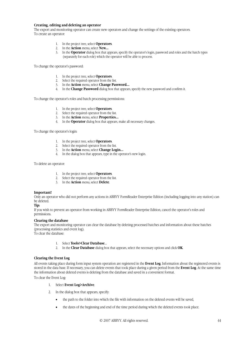#### **Creating, editing and deleting an operator**

The export and monitoring operator can create new operators and change the settings of the existing operators. To create an operator:

- 1. In the project tree, select **Operators**.
- 2. In the **Action** menu, select **New...**
- 3. In the **Operator** dialog box that appears, specify the operator's login, password and roles and the batch types (separately for each role) which the operator will be able to process.

To change the operator's password:

- 1. In the project tree, select **Operators**.
- 2. Select the required operator from the list.
- 3. In the **Action** menu, select **Change Password...**
- 4. In the **Change Password** dialog box that appears, specify the new password and confirm it.

To change the operator's roles and batch processing permissions:

- 1. In the project tree, select **Operators**.
- 2. Select the required operator from the list.
- 3. In the **Action** menu, select **Properties...**
- 4. In the **Operator** dialog box that appears, make all necessary changes.

To change the operator's login:

- 1. In the project tree, select **Operators**.
- 2. Select the required operator from the list.
- 3. In the **Action** menu, select **Change Login...**
- 4. In the dialog box that appears, type in the operator's new login.

To delete an operator:

- 1. In the project tree, select **Operators**.
- 2. Select the required operator from the list.
- 3. In the **Action** menu, select **Delete**.

#### **Important!**

Only an operator who did not perform any actions in ABBYY FormReader Enterprise Edition (including logging into any station) can be deleted.

**Tip:** 

If you wish to prevent an operator from working in ABBYY FormReader Enterprise Edition, cancel the operator's roles and permissions.

#### **Clearing the database**

The export and monitoring operator can clear the database by deleting processed batches and information about these batches (processing statistics and event log).

To clear the database:

- 1. Select **Tools>Clear Database**....
- 2. In the **Clear Database** dialog box that appears, select the necessary options and click **OK**.

#### **Clearing the Event Log**

All events taking place during form input system operation are registered in the **Event Log**. Information about the registered events is stored in the data base. If necessary, you can delete events that took place during a given period from the **Event Log**. At the same time the information about deleted events is deleting from the database and saved in a convenient format.

To clear the Event Log:

- 1. Select **Event Log>Archive**.
- 2. In the dialog box that appears, specify:
	- the path to the folder into which the file with information on the deleted events will be saved,
	- the dates of the beginning and end of the time period during which the deleted events took place.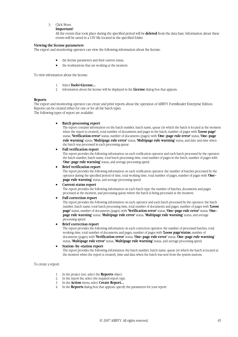#### 3. Click Move.

#### **Important!**

All the events that took place during the specified period will be **deleted** from the data base. Information about these events will be saved in a CSV file located in the specified folder.

#### **Viewing the license parameters**

The export and monitoring operator can view the following information about the license:

- the license parameters and their current status,
- the workstations that are working at the moment.

To view information about the license:

- 1. Select **Tools>License...**
- 2. Information about the license will be displayed in the **License** dialog box that appears.

#### **Reports**

The export and monitoring operator can create and print reports about the operation of ABBYY FormReader Enterprise Edition. Reports can be created either for one or for all the batch types. The following types of report are available:

#### • **Batch processing report**

The report contains information on the batch number, batch name, queue (in which the batch is located at the moment when the report is created), total number of documents and pages in the batch, number of pages with **'Loose page'**  status, **'Verification error'** status, number of documents (pages) with **'One–page rule error'** status, **'One–page rule warning'** status, **'Multipage rule error'** status, **'Multipage rule warning'** status, and date and time when the batch was processed in each processing queue.

#### • **Full verification report**

The report provides the following information on each verification operator and each batch processed by the operator: the batch number, batch name, total batch processing time, total number of pages in the batch, number of pages with '**One-page rule warning'** status, and average processing speed.

#### • **Brief verification report**

The report provides the following information on each verification operator: the number of batches processed by the operator during the specified period of time, total working time, total number of pages, number of pages with **'One– page rule warning'** status, and average processing speed.

#### • **Current status report**

The report provides the following information on each batch type: the number of batches, documents and pages processed at the moment, and processing queue where the batch is being processed at the moment.

#### • **Full correction report**

The report provides the following information on each operator and each batch processed by the operator: the batch number, batch name, total batch processing time, total number of documents and pages, number of pages with **'Loose page'** status, number of documents (pages) with **'Verification error'** status, **'One–page rule error'** status, **'One– page rule warning'** status, **'Multipage rule error'** status, **'Multipage rule warning'** status, and average processing speed.

#### **Brief correction report**

The report provides the following information on each correction operator: the number of processed batches, total working time, total number of documents and pages, number of pages with **'Loose page'status**, number of documents (pages) with **'Verification error'** status, **'One–page rule error'** status, **'One–page rule warning'**  status, **'Multipage rule error'** status, **'Multipage rule warning'** status, and average processing speed.

#### • **Station–by–station report**

The report provides the following information: the batch number, batch name, queue (in which the batch is located at the moment when the report is created), time and data when the batch was sent from the system stations.

#### To create a report:

- 1. In the project tree, select the **Reports** object.
- 2. In the report list, select the required report type.
- 3. In the **Action** menu, select **Create Report...**
- 4. In the **Reports** dialog box that appears, specify the parameters for your report.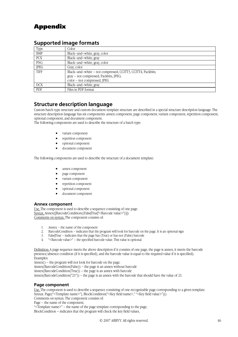# Appendix

| Type        | Color                                                       |
|-------------|-------------------------------------------------------------|
| <b>BMP</b>  | Black-and-white, gray, color                                |
| <b>PCX</b>  | Black-and-white, gray                                       |
| <b>PNG</b>  | Black-and-white, gray, color                                |
| <b>JPEG</b> | Gray, color                                                 |
| <b>TIFF</b> | Black-and-white - not compressed, CCITT3, CCITT4, Packbits; |
|             | gray – not compressed, Packbits, JPEG;                      |
|             | color – not compressed, JPEG                                |
| <b>DCX</b>  | Black-and-white, gray                                       |
| PDF         | Files in PDF format                                         |

# **Supported image formats**

# **Structure description language**

Custom batch type structure and custom document template structure are described in a special structure description language. The structure description language has six components: annex component, page component, variant component, repetition component, optional component, and document component.

The following components are used to describe the structure of a batch type:

- variant component
- repetition component
- optional component
- document component

The following components are used to describe the structure of a document template:

- annex component
- page component
- variant component
- repetition component
- optional component
- document component

### **Annex component**

Use. The component is used to describe a sequence consisting of one page. Syntax. Annex([BarcodeCondition((False|True|"<Barcode value>"))]) Comments on syntax. The component consists of:

- 1. Annex the name of the component
- 2. BarcodeCondition indicates that the program will look for barcode on the page. It is an optional sign
- $\frac{2}{3}$ . False|True indicates that the page has (True) or has not (False) barcode
- 4. "<Barcode value>" the specified barcode value. This value is optional.

Definition: A page sequence meets the above description if it consists of one page, the page is annex, it meets the barcode presence/absence condition (if it is specified), and the barcode value is equal to the required value if it is specified). Examples:

Annex() – the program will not look for barcode on the page.

Annex(BarcodeCondition(False)) – the page is an annex without barcode

Annex(BarcodeCondition(True)) – the page is an annex with barcode

Annex(BarcodeCondition("21")) – the page is an annex with the barcode that should have the value of 21.

# **Page component**

Use. The component is used to describe a sequence consisting of one recognizable page corresponding to a given template. Syntax. Page("<Template name>"{, BlockCondition("<Key field name>," "<Key field value>")}) Comments on syntax. The component consists of:

Page – the name of the component,

"<Template name>" – the name of the page template corresponding to the page, BlockCondition – indicates that the program will check the key field values,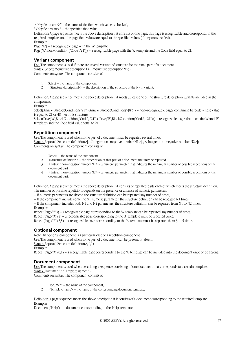"<Key field name>" – the name of the field which value is checked,

"<Key field value>" – the specified field value.

Definition: A page sequence meets the above description if it consists of one page, this page is recognizable and corresponds to the required template, and the page field values are equal to the specified values (if they are specified). Examples:

Page( $A''$ ) – a recognizable page with the 'A' template.

Page("A",BlockCondition("Code","21")) – a recognizable page with the 'A' template and the Code field equal to 21.

### **Variant component**

Use. The component is used if there are several variants of structure for the same part of a document. Syntax. Select(<Structure description1>{, <Structure descriptionN>}) Comments on syntax. The component consists of:

- 1. Select the name of the component,
- 2.  $\leq$ Structure descriptionN $>$  the description of the structure of the N–th variant.

Definition: A page sequence meets the above description if it meets at least one of the structure description variants included in the component.

Examples:

Select(Annex(BarcodeCondition("21")),Annex(BarcodeCondition("48"))) – non–recognizable pages containing barcode whose value is equal to 21 or 48 meet this structure.

Select(Page("A",BlockCondition("Code", "21")), Page("B",BlockCondition("Code", "21"))) – recognizable pages that have the 'A' and 'B' templates and the Code field value equal to 21.

### **Repetition component**

Use. The component is used when some part of a document may be repeated several times. Syntax. Repeat(<Structure definition>[, <Integer non–negative number N1>] [, < Integer non–negative number N2>]) Comments on syntax. The component consists of:

- 1. Repeat the name of the component
- 2.  $\leq$ Structure definition > the description of that part of a document that may be repeated
- $3.$   $\leq$  Integer non–negative number N1> a numeric parameter that indicates the minimum number of possible repetitions of the document part
- 4. < Integer non–negative number N2> a numeric parameter that indicates the minimum number of possible repetitions of the document part.

Definition: A page sequence meets the above description if it consists of repeated parts each of which meets the structure definition. The number of possible repetitions depends on the presence or absence of numeric parameters:

- If numeric parameters are absent, the structure definition can be repeated any number of times,
- If the component includes only the N1 numeric parameter, the structure definition can be repeated N1 times,

– If the component includes both N1 and N2 parameters, the structure definition can be repeated from N1 to N2 times. Examples:

Repeat(Page("A")) – a recognizable page corresponding to the 'A' template can be repeated any number of times. Repeat(Page("A"),2) – a recognizable page corresponding to the 'A' template must be repeated twice. Repeat(Page("A"),3,5) – a recognizable page corresponding to the 'A' template must be repeated from 3 to 5 times.

# **Optional component**

Note: An optional component is a particular case of a repetition component. Use. The component is used when some part of a document can be present or absent. Syntax. Repeat(<Structure definition>, 0,1) Examples:

# Repeat(Page("A"),0,1) – a recognizable page corresponding to the 'A' template can be included into the document once or be absent.

### **Document component**

Use. The component is used when describing a sequence consisting of one document that corresponds to a certain template. Syntax. Document("<Template name>") Comments on syntax. The component consists of:

- 1. Document the name of the component,
- 2. <Template name> the name of the corresponding document template.

Definition: a page sequence meets the above description if it consists of a document corresponding to the required template. Example:

Document("Help") – a document corresponding to the 'Help' template.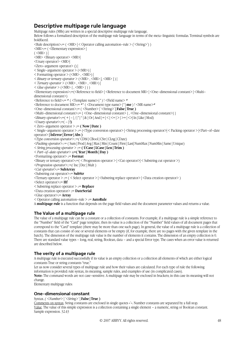# **Descriptive multipage rule language**

Multipage rules (MRs) are written in а special descriptive multipage rule language. Below follows а formalized description of the multipage rule language in terms of the meta–linguistic formulas. Terminal symbols are boldfaced.  $\langle$ Rule description $\rangle := (\langle MR \rangle) \langle$  Operator calling automation–rule  $\rangle$  ( $\langle$ String $\rangle$ )) <MR>::= ( <Elementary expression> |  $($  <MR> $)$  $|$  $\langle MR \rangle$   $\langle Binary \, operator \rangle$   $\langle MR \rangle$ <Unary operator> <MR>| <Zero–argument operator> () | < Single–argument operator > (<MR>) | < Formatting operator > (<MR> , <MR>) | *< Binary or ternary operator >* (<MR> , <MR> [, <MR> ] ) | *< Ternary operator >* (<MR> , <MR> , <MR>) |  $\langle$  *Glue operator*  $>$   $(\langle MR \rangle \{ , \langle MR \rangle \})$ <Elementary expression>::=(<Reference to field> | <Reference to document MR> | <One–dimensional constant> | <Multi– dimensional constant>)  $\leq$ Reference to field $\geq$ ::=  $\neq$  ( $\leq$ Template name $\geq$  |\*) !  $\leq$ Field name $\geq$   $\neq$  $\langle$ Reference to document MR> $:=$   $*\sim$  ( $\langle$ Document type name> |  $*$  | **me** ) !  $\langle$ MR name>  $*\sim$ <One–dimensional constant>::= ( <Number> | `<String>` **| False | True )**  $\{\text{Multi-dimensional constant}\}$  {  $\{\text{One-dimensional constant}\}$  {  $\{\text{One-dimensional constant}\}$  }  $\langle \text{Binary operator} \rangle := (+ \mid - \mid / \mid^* \mid^{\wedge} \mid \& \mid \text{Or} \mid \text{And} \mid = \mid \< \mid \<= \mid \> \mid \text{In} \mid \text{Like} \mid \text{Mod}$ *<Unary operator*>::=( – | **!)** < Zero–argument operator > ::= **( Now | Date )** < Single–argument operator > ::= (<Type conversion operator> | <String processing operator>| < Packing operator > |<Part–of–date operator> **| IsError | Error | Abs )** *<Type conversion operator>::=(* CDbl | CBool | CStr | CLng | CDate) *<Packing operator>::=* ( Sum | Prod | Avg | Max | Min | Count | First | Last| NumMax | NumMin | Same | Unique) *< String processing operator >* ::= **( UCase | LCase | Len | Trim )** *< Part–of–date operator>* **::=( Year | Month | Day )** <Formatting operator> ::= **Format**  <Binary or ternary operator>::=( < Progression operator > | <Cut operator>| < Substring cut operator >) *<Progression operator>::=(* Inc | Dec | Mult ) *<Cut operator*>::= **SubArray**  <Substring cut operator>::= **SubStr**   $\langle$ Ternary operator > ::= ( $\langle$  Select operator > | $\langle$ Substring replace operator > | $\langle$ Data creation operator > ) <Select operator>::= **IIf**  < Substring replace operator > ::= **Replace**  <Data creation operator> ::= **DateSerial**  <Glue operator>::= **Array**  < Operator calling automation–rule > ::= **AutoRule**  A **multipage rule** is a function that depends on the page field values and the document parameter values and returns a value.

# **The Value of a multipage rule**

The value of a multipage rule can be a constant or a collection of constants. For example, if a multipage rule is a simple reference to the "Number" field of the "Card" page template, then its value is a collection of the "Number" field values of all document pages that correspond to the "Card" template (there may be more than one such page). In general, the value of a multipage rule is a collection of constants that can consist of one or several elements or be empty (if, for example, there are no pages with the given template in the batch). The dimension of the multipage rule value is the number of elements it contains. The dimension of an empty collection is 0. There are standard value types – long, real, string, Boolean, data – and a special Error type. The cases when an error value is returned are described below.

# **The verity of a multipage rule**

A multipage rule is executed successfully if its value is an empty collection or a collection all elements of which are either logical constants True or string constants "true."

Let us now consider several types of multipage rule and how their values are calculated. For each type of rule the following information is provided: rule syntax, its meaning, sample rules, and examples of use (in complicated cases).

**Note:** The command words are not case–sensitive. A multipage rule may be enclosed in brackets; in this case its meaning will not change.

Elementary multipage rules:

# **One–dimensional constant**

Syntax. *( <Number> | `<String>` |* **False | True )**

Comments on syntax. String constants are enclosed in single quotes «`». Number constants are separated by a full stop. Value. The value of this simple expression is a collection containing a single element – a numeric, string or Boolean constant. Sample expression. 32.43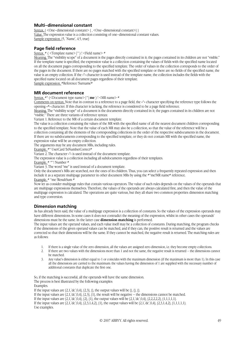### **Multi–dimensional constant**

Syntax.  $\{$  <One–dimensional constant> $\{$ , <One–dimensional constant> $\}$ } Value. The expression value is a collection consisting of one–dimensional constant values. Sample expression. {5, `Name`, 4.5, true}

### **Page field reference**

Syntax.  $*$  ( <Template name> |\*) ! <Field name>  $*$ 

Meaning. The "visibility scope" of a document is the pages directly contained in it; the pages contained in its children are not "visible." If the template name is specified, the expression value is a collection containing the values of fields with the specified name located on all the document pages corresponding to the specified template. The order of values in the collection corresponds to the order of the pages in the document. If there are no pages matched with the specified template or there are no fields of the specified name, the value is an empty collection. If the «\*» character is used instead of the template name, the collection includes the fields with the specified name located on all document pages regardless of their template.

Sample expression. #Reference !Surname#

#### **MR document reference**

Syntax.  $\#^{\wedge}$  (<Document type name>  $|^*|$  **me**  $)$ ! <MR name>  $\#$ 

Comments on syntax. Note that in contrast to a reference to a page field, the «^» character specifying the reference type follows the opening «#» character. If this character is lacking, the reference is considered to be a page field reference.

Meaning. The "visibility scope" of a document is the documents directly contained in it; the pages contained in its children are not "visible." There are three variants of reference syntax:

Variant 1. Reference to the MR of a certain document template.

The value is a collection containing the values of the MR with the specified name of all the nearest document children corresponding to the specified template. Note that the value of each MR may also be a collection, so that the value of the reference will be a collection containing all the elements of the corresponding collections in the order of the respective subdocuments in the document. If there are no subdocuments corresponding to the specified template, or they do not contain MR with the specified name, the expression value will be an empty collection.

The arguments may be any document MRs, including rules.

Example. #^ UserCard !IsNumberCorrect#

Variant 2. The character «\*» is used instead of the document template.

The expression value is a collection including all subdocuments regardless of their templates.

Example.  $*^ \sim$ ! Number  $*$ 

Variant 3. The word "me" is used instead of a document template.

Only the document's MRs are searched, not the ones of its children. Thus, you can select a frequently repeated expression and then include it as a separate multipage parameter in other document MRs by using the  $*^{\infty}$ me!MR name $*$  reference.

Example. # ^me !ResultSum #

Now let us consider multipage rules that contain various operators. The value of such rules depends on the values of the operands that are multipage expressions themselves. Therefore, the values of the operands are always calculated first, and then the value of the multipage expression is calculated. The operations are quite various, but they all share two common properties: dimension matching and type conversion.

# **Dimension matching**

As has already been said, the value of a multipage expression is a collection of constants. So the values of the expression operands may have different dimensions. In some cases it does not contradict the meaning of the expression, whilst in other cases the operands' dimensions must be the same. In the latter case **dimension matching** is performed.

The input values are the operand values, and each value itself may be a collection of constants. During matching, the program checks if the dimensions of the given operand values can be matched, and if they can, the positive result is returned and the values are corrected so that their dimensions will be the same. If they cannot be matched, the negative result is returned. The matching rules are as follows:

- 1. If there is a single value of the zero dimension, all the values are assigned zero dimension, i.e. they become empty collections.
- 2. If there are two values with the dimensions more than 1 and not the same, the negative result is returned the dimensions cannot be matched.
- 3. Any value's dimension is either equal to 1 or coincides with the maximum dimension (if the maximum is more than 1). In this case all the dimensions are carried to the maximum: the values having the dimension of 1 are supplied with the necessary number of additional constants that duplicate the first one.

So, if the matching is successful, all the operands will have the same dimension. The process is best illustrated by the following examples: Examples. If the input values are  $\{2,1, \text{dc}, 0,4\}$ ,  $\{2,3\}$ ,  $\{ \}$ , the output values will be  $\{ \}$ ,  $\{ \}$ ,  $\{ \}$ . If the input values are  $\{2,1,\dot{d}c\}$ ,  $\{0,4\}$ ,  $\{2,3\}$ ,  $\{1\}$ , the result will be negative – the dimensions cannot be matched.

If the input values are  $\{2,1,\,d\,c}\,$ , 0,4},  $\{2\},\{1\}$ , the output values will be  $\{2,1,\,d\,c}\,$ , 0,4},  $\{2,2,2,2,2\}$ ,  $\{1,1,1,1,1\}$ .

If the input values are  $\{2,1, \text{dc}, 0,4\}$ ,  $\{2,3,1,4,2\}$ ,  $\{1\}$ , the output values will be  $\{2,1, \text{dc}, 0,4\}$ ,  $\{2,3,1,4,2\}$ ,  $\{1,1,1,1,1\}$ . Use examples.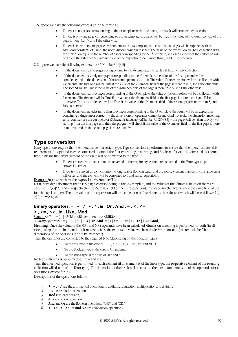- 1. Suppose we have the following expression: #A!Summa#>5
	- If there are no pages corresponding to the  $\&$  template in the document, the result will be an empty collection.
	- If there is only one page corresponding to the « $\lambda$  template, the value will be True if the value of the «Summa» field of the page is more than 5, and False otherwise.
	- If there is more than one page corresponding to the  $\&$  template, the second operand (5) will be supplied with the additional constants of 5 until the necessary dimension is reached. The value of the expression will be a collection with the dimension equal to the number of pages corresponding to the «À» template, and each element of the collection will be True if the value of the «Summa» field of the respective page is more than 5, and False otherwise.

2. Suppose we have the following expression:  $*A!Number* > {3,5}$ 

- If the document has no pages corresponding to the  $\&$  template, the result will be an empty collection.
- If the document has only one page corresponding to the «À template, the value of the first operand will be complemented to the dimension of the second operand (i.e. to 2). The value of the expression will be a collection with 2 elements. The first one will be True if the value of the «Number» field of the page is more than 3, and False otherwise. The second will be True if the value of the «Number» field of the page is more than 5, and False otherwise.
- If the document has two pages corresponding to the «À template, the value of the expression will be a collection with 2 elements. The first one will be True if the value of the «Number» field of the first page is more than 3, and False otherwise. The second element will be True, if the value of the «Number» field of the second page is more than 5, and False otherwise.
- If the document includes more than two pages corresponding to the  $\&$ A template, the result will be an expression containing a single Error constant – the dimensions of operands cannot be matched. To avoid the dimension matching error, you may use the cut operator (SubArray): SubArray( $*A!Number*1,2$ )>{3,5} – the pages will be taken two by two starting from the first page, and then the program will check if the value of the «Number» field on the first page is more than three, and on the second page is more than five.

# **Type conversion**

Many operations require that the operands be of a certain type. Type conversion is performed to ensure that the operands meet this requirement. An operand may be converted to one of the four types: long, real, string, and Boolean. If a value is converted to a certain type, it means that every element of the value will be converted to the type:

- If there are elements that cannot be converted to the required type, they are converted to the Error type (type conversion error).
- If you try to convert an element into the long, real or Boolean types, and the source element is an empty string, no error will occur, and the element will be converted to 0 and False, respectively.

Example. Suppose we have the expression:  $*$ A!Summa $*$  $*$ 10.

Let us consider a document that has 5 pages corresponding to the «A» template, and the values of the «Summa» fields on them are equal to 1, 23, 4^^, , and 4, respectively (the «Summa» field of the third page contains uncertain characters, while the same field of the fourth page is empty). Then the value of the expression will be a collection of five elements the values of which will be as follows: 10, 230, #Error, 0, 40.

# **Binary operators: + , – , / , \* , ^ , & , Or , And , = , < , <= , > , >= , <> , In , Like , Mod**

 $\frac{\text{Swntax.}}{\text{M}} \leq M \leq \text{S}$ ::= ( ...  $|\langle \text{MR1}\rangle| \leq \text{Binary operator} \rangle \leq M \cdot \text{R2}$  ... )

 $\langle Binary\, operator \rangle ::= (+|-|/|^*| \wedge | \& | \textbf{Or} | \textbf{And} |-| \le | \le | \rangle \rangle = |\langle \rangle | \textbf{In} | \textbf{Like} | \textbf{Mod} \rangle$ 

**Meaning.** Once the values of the MR1 and MR2 operands have been calculated, dimension matching is performed for both (in all cases, except for the In operation). If matching fails, the expression value will be a single Error constant (the text will be 'The dimensions of the operands cannot be matched.').

Then the operands are converted to the required type (depending on the operator type):

- To the real type in the case of  $+$ ,  $-$ ,  $/$ ,  $*, \land$ ,  $\leq$ ,  $>$ ,  $\leq$ ,  $>$ , and MOD,
- To the Boolean type in the case of Or and And,
- To the string type in the case of Like and &.

No type matching is performed for  $In, =$  and  $\leq$ .

Then the specified operation is performed for each element (if an element is of the Error type, the respective element of the resulting collection will also be of the Error type). The dimension of the result will be equal to the maximum dimension of the operands (for all operations, except for In).

Descriptions of the operations follow:

- 1. **+ , , / ,\*** are the arithmetical operations of addition, subtraction, multiplication and division,
- 2. **^** is the involution operation,
- 3. **Mod** is integer division,
- 4. **&** is string concatenation,
- 5. **And** and **Or** are the Boolean operations "AND" and "OR.",
- 6.  $\langle \langle \cdot, \cdot \rangle \rangle = \langle \cdot \rangle = \langle \cdot \rangle$  are comparison operations,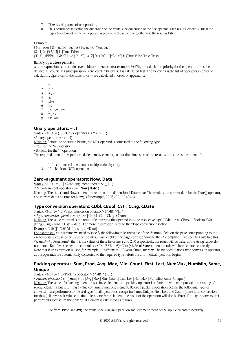- 7. **Like** is string comparison operation,
- 8. **In** is occurrence indicator: the dimension of the result is the dimension of the first operand. Each result element is True if the respective element of the first operand is present in the second one; otherwise the result is False.

Examples.

 $\{My\$ , Your'} &  $\{name\}$  age'} is  $\{My name\}$ , Your age'}  ${2, -1}$  In  ${3, 5, 1, 2}$  is {True, False}.  ${F,F,^*$ , `aBBBa`, `aM5b`} Like  ${A-Z}$ ',`[!A–Z]`,`a\*a`,`a[L–P]#[!c–e]`} is {True, False, True, True}

#### **Binary operators priority**

As any expression can contain several binary operators (for example, 3+4\*5), the calculation priority for the operators must be defined. Of course, if a subexpression is enclosed in brackets, it is calculated first. The following is the list of operators in order of calculation. Operators of the same priority are calculated in order of appearance:

 $1. \quad \hat{ }$ 

2.  $/$ ,  $*$ ,

 $3. + -$ 

4. &, 5. Like,

6. In,

7. ,  $\lt$ ,  $\lt$  = ,  $\gt$  =,

8. =, $\Leftrightarrow$ ,

9. Or , And.

### **Unary operators: – , !**

Syntax.  $\langle MR \rangle ::= ($  ...  $|\langle Unary operator \rangle \langle MR1 \rangle|$  ... )

 $\langle$ Unary operator> $:= (-1)$ 

Meaning. Before the operation begins, the MR1 operand is converted to the following type:

· Real for the "–" operation,

· Boolean for the "!" operation.

The required operation is performed element by element, so that the dimension of the result is the same as the operand's.

1.  $"-"$  – arithmetical operation of multiplication by  $(-1)$ .

2. "!" – Boolean «NOT» operation.

# **Zero–argument operators: Now, Date**

Syntax.  $\langle ME \rangle ::= ($  ... |  $\langle Zero-argument operator \rangle ()$  | ... )

<Zero–argument operator> ::= ( **Now** | **Date** )

Meaning. The Date() and Now() operators return a one–dimensional Date value. The result is the current date for the Date() operator, and current date and time for Now() (for example, 02.03.2001 12:48:46).

# **Type conversion operators: CDbl, CBool, CStr, CLng, CDate**

 $Suntax. \langle ME \rangle := ($  ...  $|\langle Type\,\,conversion\,\,operator \rangle (\langle MR1 \rangle)$  ...  $)$ 

*<Type conversion operator*>::=( CDbl | CBool | CStr | CLng | CDate)

Meaning. The value returned is the result of converting the operand into the respective type (CDbl – real, CBool – Boolean, CStr – string, CLng – long, CDate – date). For more information, refer to the "Type conversion" section.

Example. CDbl $({\tilde{}}^{\cdot}, 2.0^{\cdot}, d4f)$  is  ${0, 2, \# Error}$ 

Use examples. Let us assume we need to specify the following rule: the value of the «Summa» field on the page corresponding to the «А» template is equal to the value of the «ResultSum» field of the page corresponding to the «А» template. If we specify a rule like this: #A!Sum#=#B!ResultSum#, then, if the values of these fields are 2 and 2.00 respectively, the result will be False, as the string values do not match. But if we specify the same rule as: CDbl(#A!Sum#)=CDbl(#B!ResultSum#), then the rule will be calculated correctly. Note that if an expression is used, for example,  $1^*$  #A!Sum  $\neq$  -1\*#B!ResultSum  $\neq$ , there will be no need to use a type conversion operator, as the operands are automatically converted to the required type before the arithmetical operation begins.

# **Packing operators: Sum, Prod, Avg, Max, Min, Count, First, Last, NumMax, NumMin, Same, Unique**

Syntax.  $\langle ME \rangle := ($  ...  $|\langle Packing\ operator \rangle (\langle MR1 \rangle)|$  ... )

*<Packing operator* >::= ( Sum | Prod | Avg | Max | Min | Count | First| Last | NumMax | NumMin | Same | Unique )

Meaning. The value of a packing operator is a single element, i.e. a packing operator is a function with an input value consisting of several elements, but returning a value containing only one element. Before a packing operation begins, the following types of conversion are performed: to the real type for all operations, except for Same, Unique, First, Last, and Count (there is no conversion for these). If any result value contains at least one Error element, the result of the operation will also be Error. If the type conversion is performed successfully, the only result element is calculated as follows:

1. For **Sum**, **Prod** and **Avg,** the result is the sum, multiplication and arithmetic mean of the input elements respectively.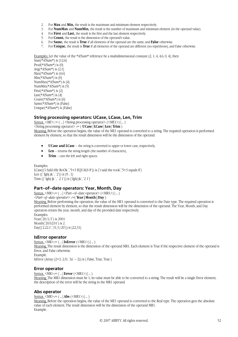- 2. For **Max** and **Min,** the result is the maximum and minimum element respectively.
- 3. For **NumMax** and **NumMin,** the result is the number of maximum and minimum element (in the operand value).
- 4. For **First** and **Last,** the result is the first and the last element respectively.
- 5. For **Count,** the result is the dimension of the operand's value.
- 6. For **Same,** the result is **True** if all elements of the operand are the same, and **False** otherwise.
- 7. For **Unique,** the result is **True** if all elements of the operand are different (no repetitions), and False otherwise.

Examples. Let the value of the  $*$ A!Sum $*$  reference be a multidimensional constant {2, 1, 4, 4, 6, 0, 4}, then

Sum(#A!Sum#) is {12.6} Prod( $*$ A!Sum $*$ ) is  $\{0\}$ Avg $(*A!Sum*)$  is  $\{2.1\}$  $Max(*A!Sum*)$  is {4.6}  $Min(*A!Sum*)$  is  $\{0\}$ NumMax $(*A!Sum*)$  is  $\{4\}$ NumMin( $#$ A!Sum $#$ ) is  $\{5\}$ First( $*$ A!Sum $*$ ) is  $\{2\}$ Last( $#$ A!Sum $#$ ) is  $\{4\}$ Count( $*$ A!Sum $*$ ) is  $\{6\}$ Same(#A!Sum#) is {False} Unique(#A!Sum#) is {False}

### **String processing operators: UCase, LCase, Len, Trim**

 $\frac{\text{Syntax}}{\text{Syntax}} \leq ME \ge \frac{m}{\text{Syntax}}$  ( $\leq ME \ge \frac{m}{\text{Syntax}} \leq \frac{1}{\text{Syntax}} \leq \frac{1}{\text{Syntax}} \leq \frac{1}{\text{Syntax}} \leq \frac{1}{\text{Syntax}} \leq \frac{1}{\text{Syntax}} \leq \frac{1}{\text{Syntax}} \leq \frac{1}{\text{Syntax}} \leq \frac{1}{\text{Syntax}} \leq \frac{1}{\text{Syntax}} \leq \frac{1}{\text{Syntax}}$ <String processing operator> ::= ( **UCase** | **LCase** | **Len** | **Trim** ) Meaning. Before the operation begins, the value of the МE1 operand is converted to a string. The required operation is performed element by element, so that the result dimension will be the dimension of the operand:

- **UCase and LСase**  the string is converted to upper or lower case, respectively,
- **Len** returns the string length (the number of characters),
- **Trim** cuts the left and right spaces.

Examples. LCase( $\{i\$ SaId tHe RoOk `,`5+3 EQUALS  $8\$ ) is  $\{i\$ said the rook`,`5+3 equals  $8\}$ Len  $({\{ \text{ fghj }jk \}, 2})$  is  ${9, 1}$ Trim  $(\{ \text{fghj }jk \} , 2 1 \})$  is  $\{ \text{fghj }jk \}$ ,  $2 1 \}$ 

### **Part–of–date operators: Year, Month, Day**

Syntax.  $\langle MR \rangle := ($  ...  $|\langle Part-of-date\ operator \rangle (\langle MR1 \rangle)|$  ... ) *<Part–of–date operator*> ::=( **Year | Month | Day** ) Meaning. Before performing the operation, the value of the МE1 operand is converted to the Date type. The required operation is performed element by element, so that the result dimension will be the dimension of the operand. The Year, Month, and Day operators return the year, month, and day of the provided date respectively. Examples. Year(20/1/1) is 2001 Month(~20.02.01<sup>-</sup>) is 2

Day({`2.22.1`,`31/1/20`}) is {22,31}

#### **IsError operator**

Syntax. <MR>::= ( … | **IsError** (<MR1>) | … ) Meaning. The result dimension is the dimension of the operand MR1. Each element is True if the respective element of the operand is Error, and False otherwise. Example. IsError (Array  $(2+3, 2/0, 3a - 2)$ ) is { False, True, True }

#### **Error operator**

Syntax. <MR>::= ( … | **Error** (<MR1>) | … )

Meaning. The MR1 dimension must be 1; its value must be able to be converted to a string. The result will be a single Error element; the description of the error will be the string in the MR1 operand.

### **Abs operator**

#### Syntax. <MR>::= ( … | **Abs** (<MR1>) | … )

Meaning. Before the operation begins, the value of the МE1 operand is converted to the Real type. The operation gets the absolute value of each element. The result dimension will be the dimension of the operand MR1. Example.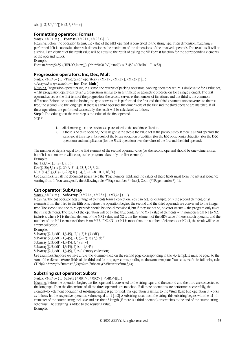Abs  $({-2, 3.0, 4b})$  is  ${2, 3, #Error}$ 

### **Formatting operator: Format**

Syntax. <MR>::= ( … | **Format** (<MR1> , <MR2>) | … )

Meaning. Before the operation begins, the value of the МE1 operand is converted to the string type. Then dimension matching is performed. If it is successful, the result dimension is the maximum of the dimensions of the involved operands. The result itself will be a string. Each element of the result value will be equal to the result of calling the VB Format function for the corresponding elements of the operand values.

Example.

Format(Array(5459.4,`HELLO`,Now()),  $\{\hat{f}^{\#}, \hat{f}^{\#}0.00\}$ ;  $\langle$ `,`h:m:s`}) is {5 459.40,`hello`, 17:16:52}

### **Progression operators: Inc, Dec, Mult**

 $\text{Swntax.} \leq \text{MR} > ::= (\text{...} | \leq \text{Program} \geq \text{OPT} \leq \text{OPT} \leq \text{MRT} \leq \text{MRT} \leq \text{MRT} \leq \text{MRT} \leq \text{MRT} \leq \text{MRT} \leq \text{MRT} \leq \text{MRT} \leq \text{MRT} \leq \text{MRT} \leq \text{MRT} \leq \text{MRT} \leq \text{MRT} \leq \text{MRT} \leq \text{MRT} \leq \text{MRT} \leq \text{MRT} \leq \text{MRT} \leq \text{MRT} \$ *<Progression operator>::=(* **Inc | Dec | Mult** )

Meaning. Progression operators are, in a sense, the reverse of packing operators: packing operators return a single value for a value set, whilst progression operators return a progression similar to an arithmetic or geometric progression for a single element. The first operand serves as the first term of the progression, the second serves as the number of iterations, and the third is the common difference. Before the operation begins, the type conversion is performed: the first and the third argument are converted to the real type, the second – to the long type. If there is a third operand, the dimensions of the first and the third operand are matched. If all these operations are performed successfully, the result will be calculated as follows:

**Step 0**: The value got at the zero step is the value of the first operand. Step k:

- 1. All elements got at the previous step are added to the resulting collection.<br>2. If there is no third operand, the value got at this step is the value got at the
	- 2. If there is no third operand, the value got at this step is the value got at the previous step. If there is a third operand, the value got at this step is the result of the binary operation of addition (for the **Inc** operation), subtraction (for the **Dec**  operation) and multiplication (for the **Mult** operation) over the values of the first and the third operands.

The number of steps is equal to the first element of the second operand value (i.e. the second operand should be one–dimensional, but if it is not, no error will occur, as the program takes only the first element).

Examples.  $Inc(1,\{3,4,-1\},6)$  is  $\{1, 7, 13\}$ Dec({2,20},5,1) is {2, 20, 3, 21, 4, 22, 5, 23, 6, 24} Mult( $\{1,4,5\}, \{3,1\}, \{-1,-2,2\}$ ) is  $\{1,4,5,-1,-8, 10, 1, 16, 20\}$ Use examples. Let all the document pages have the 'Page number' field, and the values of these fields must form the natural sequence starting from 1. You can specify the following rule:  $\#$ \*!Page number  $\#=Inc(1, Count(\#*)Page number \#), 1)$ .

### **Cut operator: SubArray**

 $\frac{\text{Swntax.}}{\text{M}} \leq M \leq \frac{1}{2}$  ( ...  $\frac{\text{SubArray} (\leq M \leq 1) \cdot (M \leq 1)}{\text{M}}$  ,  $\frac{\text{M} \leq 1}{\text{M}}$  )

Meaning. The cut operator gets a range of elements form a collection. You can get, for example, only the second element, or all elements from the third to the fifth one. Before the operation begins, the second and the third operands are converted to the integer type. The second and the third operands should be one–dimensional, but if they are not so, no error occurs – the program only takes their first elements. The result of the operation will be a value that contains the MR1 value of elements with numbers from N1 to N2, inclusive, where N1 is the first element of the MR2 value, and N2 is the first element of the MR3 value if there is such operand, and the number of the MR1 elements if there is no MR3. If N2<N1, or N1 is more than the number of elements, or N2<1, the result will be an empty collection.

Examples.

SubArray( $\{2,3, \text{ddf}, -1,3,45\}$ ,  $\{2,1\}$ , 3) is  $\{3, \text{ddf}\}$ SubArray( $\{2,3, \text{ddf}, -1,3,45\}, -1, \{3,-2\}$ ) is  $\{2,3, \text{ddf}\}$ SubArray( $\{2,3, \text{ddf}, -1,3,45\}$ , 4, 4) is  $\{-1\}$ 

SubArray( $\{2,3, \text{ddf}, -1,3,45\}$ , 4) is  $\{-1,3,45\}$ 

SubArray $(2,3, \text{ddf}, -1,3,45)$ , 7) is {} (empty collection)

Use examples. Suppose we have a rule: the «Summa» field on the second page corresponding to the «А» template must be equal to the sum of the «RevenueSum» fields of the third and fourth pages corresponding to the same template. You can specify the following rule: CDbl(SubArray(#A!Summa#,2,2))=Sum(SubArray(#A!RevenueSum,3,4)).

### **Substring cut operator: SubStr**

 $\text{Syntax.} \leq \text{MR} > ::= (\text{...} | \textbf{SubStr} (\leq \text{MR1} > \text{...} \leq \text{MR2} > [ \text{...} \leq \text{MR3} > ])] \text{...})$ 

Meaning. Before the operation begins, the first operand is converted to the string type, and the second and the third are converted to the long type. Then the dimensions of all the three operands are matched. If all these operations are performed successfully, the element–by–element operation of substring cutting is performed; this operation is similar to the Visual Basic Mid operation. It works as follows: let the respective operands' values equal s, n1 [, n2]. A substring is cut from the string; this substring begins with the n1–th character of the source string inclusive and has the n2 length (if there is a third operand) or stretches to the end of the source string otherwise. The substring is added to the resulting value. Examples.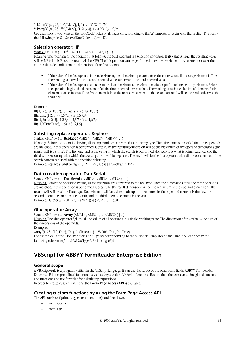SubStr({`Olga`, 23, `ffe`, `Mary`}, 1, 1) is {`O`, `2`, `f`, `M`} SubStr( $\{Olga, 23, \text{`ffe}, \text{Mary}\}, \{1, 2, 3, 4\}, 1)$  is  $\{O, \text{`3}, \text{`e}, \text{`y}\}$ Use examples. If you want all the 'DocCode' fields of all pages corresponding to the 'A' template to begin with the prefix '\_D', specify the following rule: SubStr (#A!DocCode#,1,2) = `\_D`.

### **Selection operator: IIf**

 $\frac{\text{Swntax.}}{\text{MR}}$  < MR>::= ( ... | **IIf** (< MR1 > , < MR2 > , < MR3 > )| ... )

Meaning. The meaning of the operator is as follows: the MR1 operand is a selection condition. If its value is True, the resulting value will be MR2; if it is False, the result will be MR3. The IIf operation can be performed in two ways: element–by–element or over the entire values depending on the dimension of the first operand:

- If the value of the first operand is a single element, then the select operator affects the entire values. If this single element is True, the resulting value will be the second operand value, otherwise – the third operand value.
- If the value of the first operand contains more than one element, the select operation is performed element–by–element. Before the operation begins, the dimensions of all the three operands are matched. The resulting value is a collection of elements. Each element is got as follows: if the first element is True, the respective element of the second operand will be the result, otherwise the third one.

Examples.

 $I\text{If}(1, \{23, \text{Fg}, 0, 87\}, \{0, \text{True}\})$  is  $\{23, \text{Fg}, 0, 87\}$ IIf(False, {1,2,3,4}, {5,6,7,8}) is {5,6,7,8} IIf({1, False, 0, 2}, {1,2,3,4}, {5,6,7,8}) is {1,6,7,4} IIf({1,0,True,False}, 1, 5) is {1,5,1,5}

### **Substring replace operator: Replace**

Syntax. <MR>::= ( … | **Replace** ( <MR1> , <MR2> , <MR3>) | … )

Meaning. Before the operation begins, all the operands are converted to the string type. Then the dimensions of all the three operands are matched. If this operation is performed successfully, the resulting dimension will be the maximum of the operand dimensions (the result itself is a string). The first operand is the string in which the search is performed, the second is what is being searched, snd the third is the substring with which the search pattern will be replaced. The result will be the first operand with all the occurrences of the search pattern replaced with the specified substring.

Example. Replace ( ${\frac{2}{3}$ ko22fghj2<sup>\*</sup>, 222<sup>\*</sup>}, `22<sup>\*</sup>, `0`) is  ${\frac{2}{3}$  fghsko0fghj2<sup>\*</sup>, `02<sup>\*</sup>}

### **Data creation operator: DateSerial**

Syntax. <MR>::= ( … | **DateSerial** ( <MR1> , <MR2> , <MR3> ) | … )

Meaning. Before the operation begins, all the operands are converted to the real type. Then the dimensions of all the three operands are matched. If this operation is performed successfully, the result dimension will be the maximum of the operand dimensions; the result itself will be of the Date type. Each element will be a date made up of three parts: the first operand element is the day, the second operand element is the month, and the third operand element is the year. Example. DateSerial (2001, {2,3}, {20,21}) is { 20.2.01, 21.3.01}

### **Glue operator: Array**

Syntax.  $\langle MR \rangle := (\Box \text{IArray} (\langle MR1 \rangle, \langle MR2 \rangle, \Box \langle MRN \rangle) | \Box)$ Meaning. The glue operator "glues" all the values of all operands in a single resulting value. The dimension of this value is the sum of the dimensions of the operands. Examples.

Array({1, 23, `ffe`, True}, {0,1}, {}, {True}) is {1, 23, `ffe`, True, 0,1, True} Use examples. Let the 'DocType' fields on all pages corresponding to the 'А' and 'В' templates be the same. You can specify the following rule: Same(Array(#A!DocType#, #B!DocType#))

# **VBScript for ABBYY FormReader Enterprise Edition**

### **General scope**

A VBScript–rule is a program written in the VBScript language. It can use the values of the other form fields, ABBYY FormReader Enterprise Edition predefined functions as well as any standard VBScript functions. Besides that, the user can define global constants and functions and use formulae for calculating expressions.

In order to create custom functions, the **Form Page Access API** is available.

### **Creating custom functions by using the Form Page Access API**

The API consists of primary types (enumerations) and five classes:

- FormDocument
- FormPage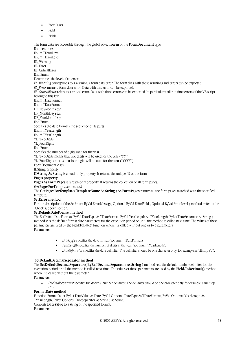- FormPages
- Field
- Fields

The form data are accessible through the global object **Form** of the **FormDocument** type. Enumerations Enum TErrorLevel Enum TErrorLevel EL\_Warning EL\_Error EL\_CriticalError End Enum Determines the level of an error: *EL\_Warning* corresponds to a warning, a form data error. The form data with these warnings and errors can be exported. *EL\_Error* means a form data error. Data with this error can be exported. *EL\_CriticalError* refers to a critical error. Data with these errors can be exported. In particularly, all run time errors of the VB script belong to this level. Enum TDateFormat Enum TDateFormat DF\_DayMonthYear DF\_MonthDayYear DF\_YearMonthDay End Enum Specifies the date format (the sequence of its parts) Enum TYearLength Enum TYearLength YL\_TwoDigits YL\_FourDigits End Enum Specifies the number of digits used for the year: YL\_TwoDigits means that two digits will be used for the year ("YY") YL\_FourDigits means that four digits will be used for the year ("YYYY") FormDocument class IDString property **IDString As String** is a read–only property. It returns the unique ID of the form. **Pages property Pages As FormPages** is a read–only property. It returns the collection of all form pages. **GetPagesForTemplate method**  The **GetPagesForTemplate**( **TemplateName As String** ) **As FormPages** returns all the form pages matched with the specified template. **SetError method**  For the description of the SetError( ByVal ErrorMessage, Optional ByVal ErrorFields, Optional ByVal ErrorLevel ) method, refer to the "Check support" section.

#### **SetDefaultDateFormat method**

The SetDefaultDateFormat( ByVal DateType As TDateFormat, ByVal YearLength As TYearLength, ByRef DateSeparator As String ) method sets the default format date parameters for the execution period or until the method is called next time. The values of these parameters are used by the Field.ToDate() function when it is called without one or two parameters. Parameters:

- *DateType* specifies the date format (see Enum TDateFormat).
- *YearLength* specifies the number of digits in the year (see Enum TYearLength).
- *DateSeparator* specifies the date delimiter. The delimiter should be one character only, for example, a full stop (".").

### **SetDefaultDecimalSeparator method**

The **SetDefaultDecimalSeparator( ByRef DecimalSeparator As String )** method sets the default number delimiter for the execution period or till the method is called next time. The values of these parameters are used by the **Field.ToDecimal()** method when it is called without the parameter.

Parameters:

• *DecimalSeparator* specifies the decimal number delimiter. The delimiter should be one character only, for example, a full stop  $\binom{a}{\cdot}$ .

#### **FormatDate method**

Function FormatDate( ByRef DateValue As Date, ByVal Optional DateType As TDateFormat, ByVal Optional YearLength As TYearLength, ByRef Optional DateSeparator As String ) As String

Converts **DateValue** to a string of the specified format. Parameters: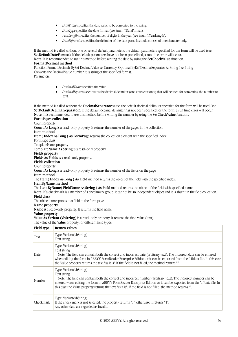- *DateValue* specifies the date value to be converted to the string.
- *DateType* specifies the date format (see Enum TDateFormat).
- *YearLength* specifies the number of digits in the year (see Enum TYearLength).
- *DateSeparator* specifies the delimiter of the date parts. It should consist of one character only.

If the method is called without one or several default parameters, the default parameters specified for the form will be used (see **SetDefaultDateFormat**). If the default parameters have not been predefined, a run time error will occur. **Note.** It is recommended to use this method before writing the date by using the **SetCheckValue** function. **FormatDecimal method** 

Function FormatDecimal( ByRef DecimalValue As Currency, Optional ByRef DecimalSeparator As String ) As String Converts the DecimalValue number to a string of the specified format. Parameters:

- *DecimalValue* specifies the value.
- *DecimalSeparator* contains the decimal delimiter (one character only) that will be used for converting the number to text.

If the method is called without the **DecimalSeparator** value, the default decimal delimiter specified for the form will be used (see **SetDefaultDecimalSeparator**). If the default decimal delimiter has not been specified for the form, a run time error will occur. **Note;** It is recommended to use this method before writing the number by using the **SetCheckValue** function. **FormPages collection**  Count property **Count As Long** is a read–only property. It returns the number of the pages in the collection. **Item method Item( Index As Long ) As FormPage** returns the collection element with the specified index. FormPage class TemplateName property **TemplateName As String** is a read–only property.

**Fields property** 

**Fields As Fields** is a read–only property.

**Fields collection** 

Count property

**Count As Long** is a read–only property. It returns the number of the fields on the page.

**Item method** 

The **Item( Index As Long ) As Field** method returns the object of the field with the specified index.

**ItemByName method** 

The **ItemByName( FieldName As String ) As Field** method returns the object of the field with specified name.

**Note:** If a checkmark is a member of a checkmark group, it cannot be an independent object and it is absent in the field collection. **Field class** 

The object corresponds to a field in the form page.

**Name property** 

**Name** is a read–only property. It returns the field name.

**Value property** 

**Value As Variant (vbString)** is a read–only property. It returns the field value (text).

The value of the **Value** property for different field types:

| Field type | Return values                                                                                                                                                                                                                                                                                                                                                                                         |
|------------|-------------------------------------------------------------------------------------------------------------------------------------------------------------------------------------------------------------------------------------------------------------------------------------------------------------------------------------------------------------------------------------------------------|
| Text       | Type: Variant (vbString)<br>Text string.                                                                                                                                                                                                                                                                                                                                                              |
| Date       | Type: Variant (vbString)<br>Text string.<br>Note: The field can contain both the correct and incorrect date (arbitrary text). The incorrect date can be entered<br>when editing the form in ABBYY FormReader Enterprise Edition or it can be exported from the *. ffdata file. In this case<br>the Value property returns the text "as it is". If the field is not filled, the method returns "".     |
| Number     | Type: Variant (vbString)<br>Text string.<br>Note: The field can contain both the correct and incorrect number (arbitrary text). The incorrect number can be<br>entered when editing the form in ABBYY FormReader Enterprise Edition or it can be exported from the *. ffdata file. In<br>this case the Value property returns the text "as it is". If the field is not filled, the method returns "". |
| Checkmark  | Type: Variant (vbString)<br>If the check mark is not selected, the property returns "0"; otherwise it returns "1".<br>Any other data are regarded as invalid.                                                                                                                                                                                                                                         |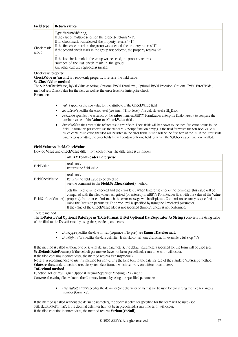| Field type          | Return values                                                                                                                                                                                                                                                                                                                                                                                                                                                                                     |
|---------------------|---------------------------------------------------------------------------------------------------------------------------------------------------------------------------------------------------------------------------------------------------------------------------------------------------------------------------------------------------------------------------------------------------------------------------------------------------------------------------------------------------|
| Check mark<br>group | Type: Variant (vbString)<br>If the case of multiple selection the property returns $-2$ .<br>If no check mark was selected, the property returns "-1".<br>If the first check mark in the group was selected, the property returns "1".<br>If the second check mark in the group was selected, the property returns "2".<br><br>If the last check mark in the group was selected, the property returns<br>"number of the last check mark in the group".<br>Any other data are regarded as invalid. |

#### CheckValue property

**CheckValue As Variant** is a read–only property. It returns the field value. **SetCheckValue method** 

The Sub SetCheckValue( ByVal Value As String, Optional ByVal ErrorLevel, Optional ByVal Precision, Optional ByVal ErrorFields ) method sets CheckValue for the field as well as the error level for Enterprise check. Parameters:

- *Value* specifies the new value for the attribute of the **CheckValue** field.
- *ErrorLevel* specifies the error level (see Enum TErrorLevel). The default level is EL\_Error.
- *Precision* specifies the accuracy of the **Value** number. ABBYY FormReader Enterprise Edition uses it to compare the attribute values of the **Value** and **CheckValue** fields.
- *ErrorFields* is the array of the references to error fields. These fields will be shown to the user if an error occurs in the field. To form this parameter, use the standard VBScript function Array(). If the field for which the SetCheckValue is called contains an error, the filed will be listed in the error fields list and will be the first item of the list. If the ErrorFields parameter is omitted, the error fields list will contain only one field for which the SetCheckValue function is called.

#### **Field.Value vs. Field.CheckValue**

How do **Value** and **CheckValue** differ from each other? The difference is as follows:

|                       | <b>ABBYY FormReader Enterprise</b>                                                                                                                                                                                                                                                                                                                                                                                                                                                                                                              |  |  |  |
|-----------------------|-------------------------------------------------------------------------------------------------------------------------------------------------------------------------------------------------------------------------------------------------------------------------------------------------------------------------------------------------------------------------------------------------------------------------------------------------------------------------------------------------------------------------------------------------|--|--|--|
| Field.Value           | read-only<br>Returns the field value                                                                                                                                                                                                                                                                                                                                                                                                                                                                                                            |  |  |  |
| Field.CheckValue      | read-only<br>Returns the field value to be checked<br>See the comment to the <b>Field.SetCheckValue</b> () method                                                                                                                                                                                                                                                                                                                                                                                                                               |  |  |  |
| Field.SetCheckValue() | Sets the filed value to checked and the error level. When Enterprise checks the form data, this value will be<br>compared with the filed value recognized (or entered) in ABBYY FormReader (i. e. with the value of the Value<br>property). In the case of mismatch the error message will be displayed. Comparison accuracy is specified by<br>using the Precision parameter. The error level is specified by using the ErrorLevel parameter.<br>If the value of the <b>CheckValue</b> filed is not specified (Empty), check is not performed. |  |  |  |

ToDate method

The **ToDate( ByVal Optional DateType As TDateFormat, ByRef Optional DateSeparator As String )** converts the string value of the filed to the **Date** format by using the specified parameters:

- *DateType* specifies the date format (sequence of its part); see **Enum TDateFormat.**
- *DateSeparator* specifies the date delimiter. It should contain one character, for example, a full stop (".").

If the method is called without one or several default parameters, the default parameters specified for the form will be used (see SetDefaultDateFormat). If the default parameters have not been predefined, a run time error will occur. If the filed contains incorrect data, the method returns Variant(vbNull).

**Note:** It is recommended to use this method for converting the field text to the date instead of the standard **VB Script** method **Cdate**, as the standard method uses the system date format, which can vary on different computers.

#### **ToDecimal method**

Function ToDecimal( ByRef Optional DecimalSeparator As String ) As Variant

Converts the string filed value to the Currency format by using the specified parameter:

• *DecimalSeparator* specifies the delimiter (one character only) that will be used for converting the filed text into a number (Currency).

If the method is called without the default parameters, the decimal delimiter specified for the form will be used (see SetDefaultDateFormat). If the decimal delimiter has not been predefined, a run time error will occur. If the filed contains incorrect data, the method returns **Variant(vbNull).**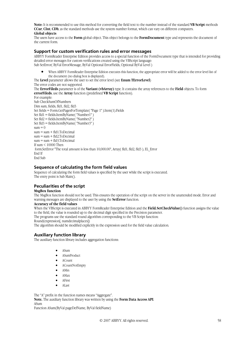**Note:** It is recommended to use this method for converting the field text to the number instead of the standard **VB Script** methods **CCur**, **CInt**, **CDb**, as the standard methods use the system number format, which can vary on different computers. **Global objects** 

The users have access to the **Form** global object. This object belongs to the **FormDocument** type and represents the document of the current form.

### **Support for custom verification rules and error messages**

ABBYY FormReader Enterprise Edition provides access to a special function of the FormDocument type that is intended for providing detailed error messages for custom verifications created using the VBScript language: Sub SetError( ByVal ErrorMessage, ByVal Optional ErrorFields, Optional ByVal Level )

• When ABBYY FormReader Enterprise Edition executes this function, the appropriate error will be added to the error level list of the document (no dialog box is displayed).

The **Level** parameter allows the user to set the error level (see **Enum TErrorLevel**)

The error codes are not supported.

The **ErrorFileds** parameter is of the **Variant (vbArray)** type. It contains the array references to the **Field** objects. To form **errorFileds**, use the **Array** function (predefined **VB Script** function).

For example:

Sub CheckSumOfNumbers Dim sum, fields, fld1, fld2, fld3 Set fields = Form.GetPagesForTemplate( "Page 1" ).Item(1).Fields Set fld1 = fields.ItemByName( "Number1" ) Set fld2 = fields.ItemByName( "Number2" ) Set fld3 = fields.ItemByName( "Number3" )  $sum = 0$  $sum = sum + f d1. To Decimal$  $sum = sum + f/d2. To Decimal$  $sum = sum + f d3. To Decimal$ If sum  $< 10000$  Then form.SetError "The total amount is less than 10,000.00", Array( fld1, fld2, fld3 ), EL\_Error End If End Sub

### **Sequence of calculating the form field values**

Sequence of calculating the form field values is specified by the user while the script is executed. The entry point is Sub Main().

# **Peculiarities of the script**

#### **MsgBox function**

The MsgBox function should not be used. This ensures the operation of the script on the server in the unattended mode. Error and warning messages are displayed to the user by using the **SetError** function.

#### **Accuracy of the field values**

When the VBScript is executed in ABBYY FormReader Enterprise Edition and the **Field.SetCheckValue()** function assigns the value to the field, the value is rounded up to the decimal digit specified in the Precision parameter.

The programs use the standard round algorithm corresponding to the VB Script function:

Round(expression[, numdecimalplaces])

The algorithm should be modified explicitly in the expression used for the field value calculation.

# **Auxiliary function library**

The auxiliary function library includes aggregation functions:

- ASum
- ASumProduct
- ACount
- ACountNotEmpty
- AMin
- AMax
- AFirst
- ALast

The "A" prefix in the function names means "Aggregate". **Note.** The auxiliary function library was written by using the **Form Data Access API**. ASum

Function ASum(ByVal pageDefName, ByVal fieldName)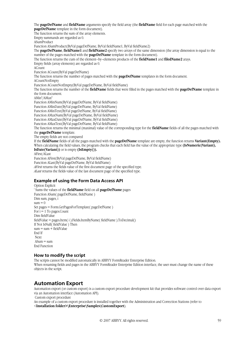The **pageDefName** and **fieldName** arguments specify the field array (the **fieldName** field for each page matched with the **pageDefName** template in the form document).

The function returns the sum of the array elements.

Empty summands are regarded as 0.

ASumProduct

Function ASumProduct(ByVal pageDefName, ByVal fieldName1, ByVal fieldName2)

The **pageDefName**, **fieldName1** and **fieldName2** specify two arrays of the same dimension (the array dimension is equal to the number of the pages matched with the **pageDefName** template in the form document).

The function returns the cum of the element–by–elements products of the **fieldName1** and **filedName2** arays.

Empty fields (array elements) are regarded as 0.

ACount

Function ACount(ByVal pageDefName)

The function returns the number of pages matched with the **pageDefName** templates in the form document.

ACountNotEmpty

Function ACountNotEmpty(ByVal pageDefName, ByVal fieldName)

The function returns the number of the **fieldName** fields that were filled in the pages matched with the **pageDefName** template in the form document.

AMin\*/AMax\*

Function AMinNum(ByVal pageDefName, ByVal fieldName)

Function AMinDate(ByVal pageDefName, ByVal fieldName)

Function AMinText(ByVal pageDefName, ByVal fieldName)

Function AMaxNum(ByVal pageDefName, ByVal fieldName)

Function AMaxDate(ByVal pageDefName, ByVal fieldName)

Function AMaxText(ByVal pageDefName, ByVal fieldName)

The function returns the minimal (maximal) value of the corresponding type for the **fieldName** fields of all the pages matched with the **pageDefName** template.

The empty fields are not compared

If the **fieldName** fields of all the pages matched with the **pageDefName** template are empty, the function returns **Variant(Empty).** When calculating the field values, the program checks that each field has the value of the appropriate type (IsNumeric(Variant), **IsDate(Variant))** or is empty **(IsEmpty()).**

AFirst/ALast

Function AFirst(ByVal pageDefName, ByVal fieldName)

Function ALast(ByVal pageDefName, ByVal fieldName)

*AFirst* returns the fields value of the first document page of the specified type.

*ALast* returns the fields value of the last document page of the specified type.

# **Example of using the Form Data Access API**

Option Explicit ' Sums the values of the **fieldName** field on all **pageDefName** pages Function ASum( pageDefName, fieldName ) Dim sum, pages, i  $sum = 0$ Set pages = Form.GetPagesForTemplate( pageDefName ) For  $i = 1$  To pages. Count Dim fieldValue fieldValue = pages.Item( i ).Fields.ItemByName( fieldName ).ToDecimal() If Not IsNull( fieldValue ) Then  $sum = sum + fieldValue$ End If Next  $ASum = \text{sum}$ End Function

# **How to modify the script**

The scripts cannot be modified automatically in ABBYY FormReader Enterprise Edition.

When renaming fields and pages in the ABBYY FormReader Enterprise Edition interface, the user must change the name of these objects in the script.

# **Automation Export**

Automation export (or custom export) is a custom export procedure development kit that provides software control over data export via an Automation interface (Automation API).

Custom export procedure

An example of a custom export procedure is installed together with the Administration and Correction Stations (refer to <**Installation folder>\Enterprise\Samples\CustomExport**).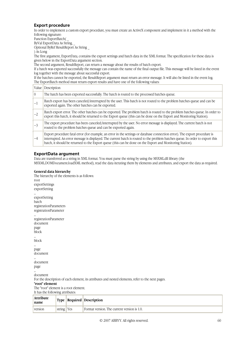### **Export procedure**

In order to implement a custom export procedure, you must create an ActiveX component and implement in it a method with the following signature:

Function ExportBatch( \_

ByVal ExportData As String, \_

Optional ByRef ResultReport As String \_

) As Long

The first argument, ExportData, contains the export settings and batch data in the XML format. The specification for these data is given below in the ExportData argument section.

The second argument, ResultReport, can return a message about the results of batch export.

If a batch was exported successfully the message can contain the name of the final output file. This message will be listed in the event log together with the message about successful export.

If the batches cannot be exported, the ResultReport argument must return an error message. It will also be listed in the event log. The ExportBatch method must return export results and have one of the following values:

| Value     | Description                                                                                                                                                                                                                                                                                                                                                              |
|-----------|--------------------------------------------------------------------------------------------------------------------------------------------------------------------------------------------------------------------------------------------------------------------------------------------------------------------------------------------------------------------------|
| $\vert$ 0 | The batch has been exported successfully. The batch is routed to the processed batches queue.                                                                                                                                                                                                                                                                            |
| $-1$      | Batch export has been canceled/interrupted by the user. This batch is not routed to the problem batches queue and can be<br>exported again. The other batches can be exported.                                                                                                                                                                                           |
| $ -2$     | Batch export error. The other batches can be exported. The problem batch is routed to the problem batches queue. In order to<br>export this batch, it should be returned to the Export queue (this can be done on the Export and Monitoring Station).                                                                                                                    |
| $ -3$     | The export procedure has been canceled/interrupted by the user. No error message is displayed. The current batch is not<br>routed to the problem batches queue and can be exported again.                                                                                                                                                                                |
| $-4$      | Export procedure fatal error (for example, an error in the settings or database connection error). The export procedure is<br>interrupted. An error message is displayed. The current batch is routed to the problem batches queue. In order to export this<br>batch, it should be returned to the Export queue (this can be done on the Export and Monitoring Station). |

### **ExportData argument**

Data are transferred as a string in XML format. You must parse the string by using the MSXML.dll library (the MSXML.DOMDocument.loadXML method), read the data iterating them by elements and attributes, and export the data as required.

#### **General data hierarchy**

The hierarchy of the elements is as follows: root exportSettings exportSetting ... exportSetting batch registrationParameters registrationParameter ... registrationParameter document page block ... block ... page document ... document page ... document For the description of each element, its attributes and nested elements, refer to the next pages. **"root" element**  The "root" element is a root element. It has the following attributes:

| Attribute<br>name |              | Type   Required   Description               |
|-------------------|--------------|---------------------------------------------|
| version           | string   Yes | Format version. The current version is 1.0. |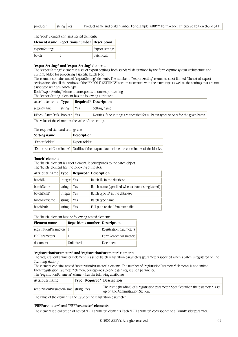| producer | string $Yes$ |  | Product name and build number. For example, ABBYY FormReader Enterprise Edition (build 511). |
|----------|--------------|--|----------------------------------------------------------------------------------------------|
|----------|--------------|--|----------------------------------------------------------------------------------------------|

The "root" element contains nested elements:

|               |                | Element name Repetitions number Description |                        |  |
|---------------|----------------|---------------------------------------------|------------------------|--|
|               | exportSettings |                                             | <b>Export settings</b> |  |
| $\vert$ batch |                |                                             | <b>Batch</b> data      |  |

#### **"exportSettings" and "exportSetting" elements**

The "exportSettings" element is a set of export settings: both standard, determined by the form capture system architecture, and custom, added for processing a specific batch type.

The element contains nested "exportSetting" elements. The number of "exportSetting" elements is not limited. The set of export settings includes all the settings of the "EXPORT\_SETTINGS" section associated with the batch type as well as the settings that are not associated with any batch type.

Each "exportSetting" element corresponds to one export setting.

The "exportSetting" element has the following attributes:

| Attribute name Type                                   |        |       | <b>Required?</b> Description                                                            |  |
|-------------------------------------------------------|--------|-------|-----------------------------------------------------------------------------------------|--|
| settingName                                           | string | ∣ Yes | Setting name                                                                            |  |
| isForAllBatchDefs   Boolean   Yes                     |        |       | Notifies if the settings are specified for all batch types or only for the given batch. |  |
| The value of the element is the value of the setting. |        |       |                                                                                         |  |

#### The required standard settings are:

| Setting name   | <b>Description</b>                                                                            |
|----------------|-----------------------------------------------------------------------------------------------|
| "ExportFolder" | Export folder                                                                                 |
|                | "ExportBlockCoordinates"   Notifies if the output data include the coordinates of the blocks. |

#### **"batch" element**

The "batch" element is a root element. It corresponds to the batch object.

The "batch" element has the following attributes:

| Attribute name Type        |         |            | Required? Description                             |
|----------------------------|---------|------------|---------------------------------------------------|
| batchID                    | integer | Yes        | Batch ID in the database                          |
| batchName<br>Yes<br>string |         |            | Batch name (specified when a batch is registered) |
| batchDefID                 | integer | <b>Yes</b> | Batch type ID in the database                     |
| batchDefName               | string  | Yes        | Batch type name                                   |
| batchPath                  | string  | Yes        | Full path to the *.frm batch file                 |

The "batch" element has the following nested elements:

| Element name             | Repetitions number Description |                         |
|--------------------------|--------------------------------|-------------------------|
| registrationParameters 1 |                                | Registration parameters |
| FREParameters            |                                | FormReader parameters   |
| document                 | Unlimited                      | Document                |

#### **"registrationParameters" and "registrationParameter" elements**

The "registrationParameters" element is a set of batch registration parameters (parameters specified when a batch is registered on the Scanning Station).

The element contains nested "registrationParameter" elements. The number of "registrationParameter" elements is not limited. Each "registrationParameter" element corresponds to one batch registration parameter.

The "registrationParameter" element has the following attributes:

| Attribute name                           |  |  | $\vert$ Type   Required?   Description                                                                                   |  |
|------------------------------------------|--|--|--------------------------------------------------------------------------------------------------------------------------|--|
| registrationParameterName   string   Yes |  |  | The name (heading) of a registration parameter. Specified when the parameter is set<br>up on the Administration Station. |  |
| $\sim$                                   |  |  |                                                                                                                          |  |

The value of the element is the value of the registration parameter.

#### **"FREParameters" and "FREParameter" elements**

The element is a collection of nested "FREParameter" elements. Each "FREParameter" corresponds to a FormReader paramter.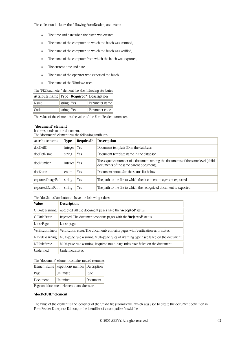The collection includes the following FormReader parameters:

- The time and date when the batch was created,
- The name of the computer on which the batch was scanned.
- The name of the computer on which the batch was verified,
- The name of the computer from which the batch was exported,
- The current time and date,
- The name of the operator who exported the batch,
- The name of the Windows user.

| The "FREParameter" element has the following attributes: |  |
|----------------------------------------------------------|--|
|----------------------------------------------------------|--|

| Attribute name   Type   Required?   Description |              |                |
|-------------------------------------------------|--------------|----------------|
| Name                                            | string   Yes | Parameter name |
| Code                                            | string   Yes | Parameter code |

The value of the element is the value of the FormReader parameter.

#### **"document" element**

It corresponds to one document. The "document" element has the following attributes:

| Attribute name    | <b>Type</b> | Required? | Description                                                                                                               |  |
|-------------------|-------------|-----------|---------------------------------------------------------------------------------------------------------------------------|--|
| docDefID          | integer     | Yes       | Document template ID in the database.                                                                                     |  |
| docDefName        | string      | Yes       | Document template name in the database.                                                                                   |  |
| docNumber         | integer     | Yes       | The sequence number of a document among the documents of the same level (child<br>documents of the same parent document). |  |
| docStatus         | enum        | Yes       | Document status. See the status list below                                                                                |  |
| exportedImagePath | string      | Yes       | The path to the file to which the document images are exported                                                            |  |
| exportedDataPath  | string      | Yes       | The path to the file to which the recognized document is exported                                                         |  |

The "docStatus"attribute can have the following values:

| <b>Value</b>         | Description                                                                            |  |
|----------------------|----------------------------------------------------------------------------------------|--|
| <b>OPRuleWarning</b> | Accepted. All the document pages have the ' <b>Accepted</b> ' status.                  |  |
| OPRuleError          | Rejected. The document contains pages with the 'Rejected' status.                      |  |
| LoosePage            | Loose page.                                                                            |  |
| VerificationError    | Verification error. The documents contains pages with Verification error status.       |  |
| <b>MPRuleWarning</b> | Multi-page rule warning. Multi-page rules of Warning type have failed on the document. |  |
| MPRuleError          | Multi-page rule warning. Required multi-page rules have failed on the document.        |  |
| Undefined            | Undefined status.                                                                      |  |

The "document" element contains nested elements:

|          | Element name Repetitions number Description |          |
|----------|---------------------------------------------|----------|
| Page     | Unlimited                                   | Page     |
| Document | Unlimited                                   | Document |

Page and document elements can alternate.

#### **"docDefUID" element**

The value of the element is the identifier of the \*.mxfd file (FormDefID) which was used to create the document definition in FormReader Enterprise Edition, or the identifier of a compatible \*.mxfd file.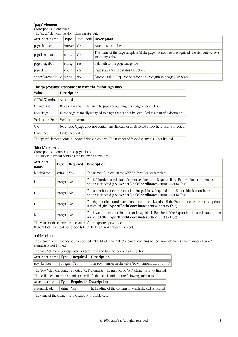#### **"page" element**

| Corresponds to one page.                         |  |
|--------------------------------------------------|--|
| The "page" element has the following attributes: |  |

| Attribute name           | Type    | Required?      | <b>Description</b>                                                                                              |
|--------------------------|---------|----------------|-----------------------------------------------------------------------------------------------------------------|
| pageNumber               | integer | Yes            | Batch page number.                                                                                              |
| pageTemplate             | string  | Yes            | The name of the page template (if the page has not been recognized, the attribute value is<br>an empty string). |
| pageImagePath            | string  | Yes            | Full path to the page image file.                                                                               |
| pageStatus               | enum    | Yes            | Page status. See the status list below.                                                                         |
| annexBarcodeValue string |         | N <sub>O</sub> | Barcode value. Required only for non-recognizable pages (annexes).                                              |

#### **The "pageStatus" attribute can have the following values:**

| Value                | Description                                                                                 |  |  |
|----------------------|---------------------------------------------------------------------------------------------|--|--|
| <b>OPRuleWarning</b> | Accepted.                                                                                   |  |  |
| OPRuleError          | Rejected. Manually assigned to pages containing one-page check rules.                       |  |  |
| LoosePage            | Loose page. Manually assigned to pages that cannot be identified as a part of a document.   |  |  |
|                      | VerificationError   Verification error.                                                     |  |  |
| OК                   | No errors. A page does not contain invalid data or all detected errors have been corrected. |  |  |
| <b>Undefined</b>     | Undefined status.                                                                           |  |  |

The "page" element contains nested "block" elements. The number of "block" elements is not limited.

#### **"block" element**

Corresponds to one exported page block.

The "block" element contains the following attributes:

| <b>Attribute</b><br>name | Type               |     | <b>Required?</b> Description                                                                                                                                           |
|--------------------------|--------------------|-----|------------------------------------------------------------------------------------------------------------------------------------------------------------------------|
| <b>blockName</b>         | string             | Yes | The name of a block in the ABBYY FormReader template                                                                                                                   |
|                          | integer $ $ No     |     | The left border coordinate of an image block, dpi. Required if the Export block coordinates<br>option is selected (the ExportBlockCoordinates setting is set to True). |
|                          | $integer$ No       |     | The upper border coordinate of an image block. Required if the Export block coordinates<br>option is selected (the ExportBlockCoordinates setting is set to True).     |
|                          | integer $\vert$ No |     | The right border coordinate of an image block. Required if the Export block coordinates option<br>is selected (the ExportBlockCoordinates setting is set to True).     |
| b                        | integer            | No  | The lower border coordinate of an image block. Required if the Export block coordinates option<br>is selected (the ExportBlockCoordinates setting is set to True).     |

The value of the element is the value of the exported page block.

If the "block" element corresponds to table it contains a "table" element.

#### **"table" element**

The element corresponds to an exported Table block. The "table" element contains nested "row" elements. The number of "row" elements is not limited.

|  |  |  | The "row" element corresponds to a table row and has the following attributes: |
|--|--|--|--------------------------------------------------------------------------------|
|--|--|--|--------------------------------------------------------------------------------|

| Attribute name Type                                                                              |             |  | <b>Required?</b> Description                           |  |
|--------------------------------------------------------------------------------------------------|-------------|--|--------------------------------------------------------|--|
| rowNumber                                                                                        | integer Yes |  | The row number in the table (row numbers start from 1) |  |
| The "row" element contains nested "cell" elements. The number of "cell" elements is not limited. |             |  |                                                        |  |

The "cell" element corresponds to a cell of table block and has the following attributes:

| Attribute name   Type   Required?   Description |            |                                                        |
|-------------------------------------------------|------------|--------------------------------------------------------|
| columnHeader                                    | string Yes | The heading of the column in which the cell is located |

The value of the element is the value of the table cell.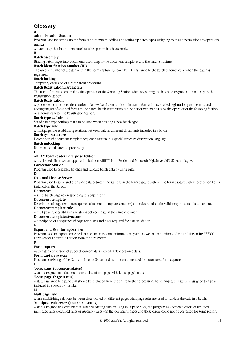# **Glossary**

**A** 

#### **Administration Station**

Program used for setting up the form capture system: adding and setting up batch types, assigning roles and permissions to operators. **Annex** 

A batch page that has no template but takes part in batch assembly.

**B** 

#### **Batch assembly**

Binding batch pages into documents according to the document templates and the batch structure.

#### **Batch identification number (ID)**

The unique number of a batch within the form capture system. The ID is assigned to the batch automatically when the batch is registered.

#### **Batch locking**

Temporary exclusion of a batch from processing.

#### **Batch Registration Parameters**

The user information entered by the operator of the Scanning Station when registering the batch or assigned automatically by the Registration Station.

#### **Batch Registration**

A process which includes the creation of a new batch, entry of certain user information (so-called registration parameters), and adding images of scanned forms to the batch. Batch registration can be performed manually by the operator of the Scanning Station or automatically by the Registration Station.

#### **Batch type definition**

Set of batch type settings that can be used when creating a new batch type.

#### **Batch type rule**

A multipage rule establishing relations between data in different documents included in a batch.

#### **Batch** t**y**pe **structure**

Description of document template sequence written in a special structure description language.

#### **Batch unlocking**

Return a locked batch to processing

#### **C**

#### **ABBYY FormReader Enterprise Edition**

A distributed client–server application built on ABBYY FormReader and Microsoft SQL Server/MSDE technologies.

#### **Correction Station**

Program used to assembly batches and validate batch data by using rules.

**D** 

#### **Data and License Server**

Program used to store and exchange data between the stations in the form capture system. The form capture system protection key is installed on the Server.

#### **Document**

A set of batch pages corresponding to a paper form.

#### **Document template**

Description of page template sequence (document template structure) and rules required for validating the data of a document.

#### **Document template rule**

A multipage rule establishing relations between data in the same document.

#### **Document template structure**

A description of a sequence of page templates and rules required for data validation.

#### **E Export and Monitoring Station**

Program used to export processed batches to an external information system as well as to monitor and control the entire ABBYY FormReader Enterprise Edition form capture system.

**F** 

#### **Form capture**

Automated conversion of paper document data into editable electronic data.

#### **Form capture system**

Program consisting of the Data and License Server and stations and intended for automated form capture.

**L** 

#### '**Loose page' (document status)**

A status assigned to a document consisting of one page with 'Loose page' status.

#### **'Loose page' (page status)**

A status assigned to a page that should be excluded from the entire further processing. For example, this status is assigned to a page included in a batch by mistake.

**M** 

#### **Multipage rule**

A rule establishing relations between data located on different pages. Multipage rules are used to validate the data in a batch. **'Multipage rule error' (document status)** 

A status assigned to a document if, when validating data by using multipage rules, the program has detected errors of required multipage rules (Required rules or Assembly rules) on the document pages and these errors could not be corrected for some reason.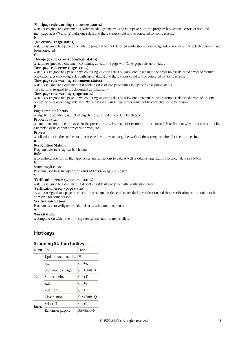#### **'Multipage rule warning' (document status)**

A status assigned to a document if, when validating data by using multipage rules, the program has detected errors of optional multipage rules ('Warning' multipage rules) and these errors could not be corrected for some reason.

**N** 

#### **'(No errors)' (page status)**

A status assigned to a page on which the program has not detected verification or one–page rule errors or all the detected errors have been corrected.

**O** 

#### **'One–page rule error' (document status)**

A status assigned to a document containing at least one page with 'One–page rule error' status.

#### **'One–page rule error' (page status)**

A status is assigned to a page on which during validating data by using one–page rules the program has detected errors of required one–page rules (one–page rules with 'Error' status) and these errors could not be corrected for some reason.

#### **'One–page rule warning' (document status)**

A status assigned to a document if it contains at least one page with 'One–page rule warning' status.

This status is assigned to the document automatically.

#### **'One–page rule warning' (page status)**

A status is assigned to a page on which during validating data by using one–page rules the program has detected errors of optional one–page rules (one–page rule with 'Warning' status) and these errors could not be corrected for some reason.

#### **P**

#### **Page template library**

A page template library is a set of page templates used in a certain batch type.

#### **Problem batch**

A batch that cannot be processed in the present processing stage (for example, the operator fails to find out why the batch cannot be assembled or he cannot correct rule errors, etc.)

#### **Project**

A collection of all the batches to be processed by the system together with all the settings required for their processing.

**R** 

#### **Recognition Station**

Program used to recognize batch data.

# **Rule**

A formalized description that applies certain restrictions to data as well as establishing relations between data in a batch.

#### **S**

#### **Scanning Station**

Program used to scan paper forms and add ready images to a batch.

#### **V**

#### **'Verification error' (document status)**

A status assigned to a document if it contains at least one page with 'Verification error'.

#### **'Verification error' (page status)**

 A status assigned to a page on which the program has detected errors during verification and these verification errors could not be corrected for some reason.

### **Verification Station**

Program used to verify and validate data by using one–page rules.

#### **W Workstation**

A computer on which the form capture system stations are installed.

# **Hotkeys**

### **Scanning Station hotkeys**

| Menu  | To:                    | Press:       |
|-------|------------------------|--------------|
|       | Update batch page list | F5           |
|       | Scan                   | $Ctrl+K$     |
|       | Scan multiple pages    | Ctrl+Shift+K |
| Scan  | Stop scanning          | $Ctrl+T$     |
|       | hhA                    | $Ctrl + P$   |
|       | Add from               | $Ctrl + O$   |
|       | Close station          | Ctrl+Shift+O |
| Image | Select all             | $Ctrl+A$     |
|       | Renumber pages         | Alt+Shift+N  |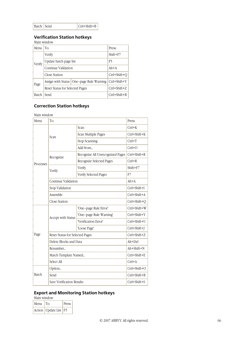| Batch Send | $ Ctrl + Shift + B$ |
|------------|---------------------|
|            |                     |

# **Verification Station hotkeys**

Main window

|  | Menu   | To:                             |                                            | Press:             |
|--|--------|---------------------------------|--------------------------------------------|--------------------|
|  |        | Verify                          |                                            | $Shift + F7$       |
|  | Verify | Update batch page list          |                                            | F5                 |
|  |        | Continue Validation             |                                            | $Alt+A$            |
|  |        | Close Station                   |                                            | Ctrl+Shift+O       |
|  | Page   |                                 | Assign with Status   One-page Rule Warning | Ctrl+Shift+Y       |
|  |        | Reset Status for Selected Pages |                                            | $Ctrl + Shift + Z$ |
|  | Batch  | Send                            |                                            | Ctrl+Shift+B       |

# **Correction Station hotkeys**

| Main window |                                 |                                  |                    |  |  |
|-------------|---------------------------------|----------------------------------|--------------------|--|--|
| Menu        | To:                             |                                  | Press:             |  |  |
|             | Scan                            | Scan                             | $Ctrl+K$           |  |  |
|             |                                 | Scan Multiple Pages              | Ctrl+Shift+K       |  |  |
|             |                                 | <b>Stop Scanning</b>             | $Ctrl+T$           |  |  |
|             |                                 | Add from                         | $Ctrl + O$         |  |  |
|             | Recognize                       | Recognize All Unrecognized Pages | Ctrl+Shift+R       |  |  |
| Processes   |                                 | Recognize Selected Pages         | $Ctrl + R$         |  |  |
|             | Verify                          | Verify                           | Shift+F7           |  |  |
|             |                                 | Verify Selected Pages            | F7                 |  |  |
|             | Continue Validation             |                                  | $Alt+A$            |  |  |
|             | Stop Validation                 |                                  | Ctrl+Shift+I       |  |  |
|             | Assemble                        |                                  | $Ctrl + Shift + A$ |  |  |
|             | <b>Close Station</b>            |                                  | Ctrl+Shift+Q       |  |  |
|             | Accept with Status              | 'One-page Rule Error'            | Ctrl+Shift+W       |  |  |
|             |                                 | 'One-page Rule Warning'          | Ctrl+Shift+Y       |  |  |
|             |                                 | "Verification Error"             | Ctrl+Shift+U       |  |  |
|             |                                 | 'Loose Page'                     | Ctrl+Shift+J       |  |  |
| Page        | Reset Status for Selected Pages |                                  | Ctrl+Shift+Z       |  |  |
|             | Delete Blocks and Data          |                                  | $Alt+Del$          |  |  |
|             | Renumber                        |                                  | $Alt + Shift + N$  |  |  |
|             | Match Template Named            |                                  | Ctrl+Shift+E       |  |  |
|             | Select All                      |                                  | $Ctrl+A$           |  |  |
|             | Option                          |                                  | Ctrl+Shift+O       |  |  |
| Batch       | Send                            |                                  | Ctrl+Shift+B       |  |  |
|             | Save Verification Results       |                                  | $Ctrl + Shift + S$ |  |  |

# **Export and Monitoring Station hotkeys**

| Main window |                           |        |  |  |  |
|-------------|---------------------------|--------|--|--|--|
| Menu To:    |                           | Press: |  |  |  |
|             | Action   Update List   F5 |        |  |  |  |